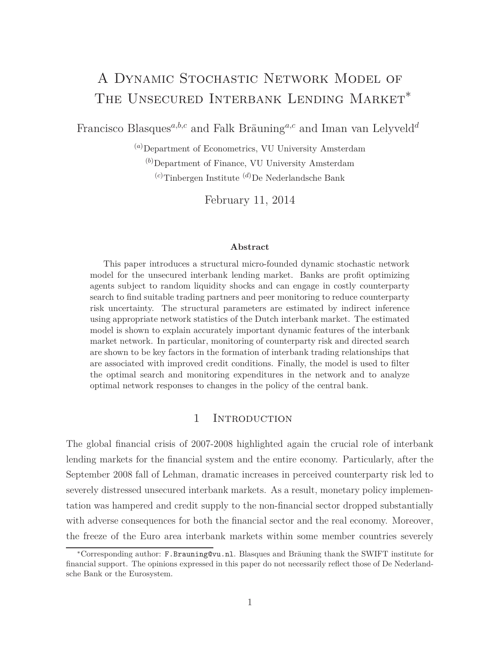# A Dynamic Stochastic Network Model of THE UNSECURED INTERBANK LENDING MARKET<sup>\*</sup>

Francisco Blasques*a,b,c* and Falk Bräuning*a,c* and Iman van Lelyveld*<sup>d</sup>*

(*a*)Department of Econometrics, VU University Amsterdam (*b*)Department of Finance, VU University Amsterdam (*c*)Tinbergen Institute (*d*)De Nederlandsche Bank

February 11, 2014

#### **Abstract**

This paper introduces a structural micro-founded dynamic stochastic network model for the unsecured interbank lending market. Banks are profit optimizing agents subject to random liquidity shocks and can engage in costly counterparty search to find suitable trading partners and peer monitoring to reduce counterparty risk uncertainty. The structural parameters are estimated by indirect inference using appropriate network statistics of the Dutch interbank market. The estimated model is shown to explain accurately important dynamic features of the interbank market network. In particular, monitoring of counterparty risk and directed search are shown to be key factors in the formation of interbank trading relationships that are associated with improved credit conditions. Finally, the model is used to filter the optimal search and monitoring expenditures in the network and to analyze optimal network responses to changes in the policy of the central bank.

#### 1 INTRODUCTION

The global financial crisis of 2007-2008 highlighted again the crucial role of interbank lending markets for the financial system and the entire economy. Particularly, after the September 2008 fall of Lehman, dramatic increases in perceived counterparty risk led to severely distressed unsecured interbank markets. As a result, monetary policy implementation was hampered and credit supply to the non-financial sector dropped substantially with adverse consequences for both the financial sector and the real economy. Moreover, the freeze of the Euro area interbank markets within some member countries severely

<sup>∗</sup>Corresponding author: F.Brauning@vu.nl. Blasques and Bräuning thank the SWIFT institute for financial support. The opinions expressed in this paper do not necessarily reflect those of De Nederlandsche Bank or the Eurosystem.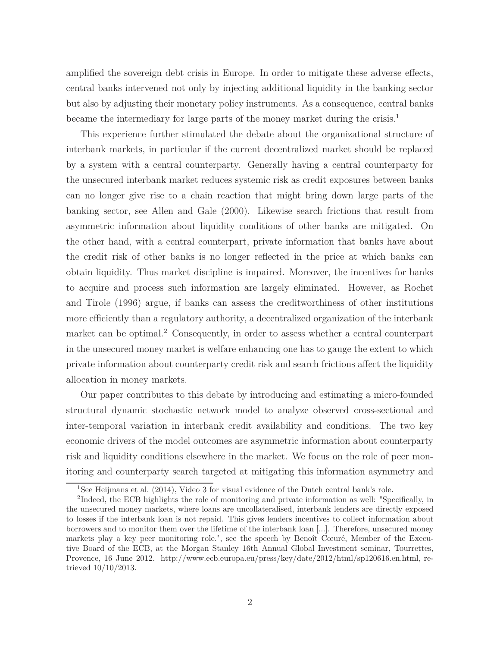amplified the sovereign debt crisis in Europe. In order to mitigate these adverse effects, central banks intervened not only by injecting additional liquidity in the banking sector but also by adjusting their monetary policy instruments. As a consequence, central banks became the intermediary for large parts of the money market during the crisis.<sup>1</sup>

This experience further stimulated the debate about the organizational structure of interbank markets, in particular if the current decentralized market should be replaced by a system with a central counterparty. Generally having a central counterparty for the unsecured interbank market reduces systemic risk as credit exposures between banks can no longer give rise to a chain reaction that might bring down large parts of the banking sector, see Allen and Gale (2000). Likewise search frictions that result from asymmetric information about liquidity conditions of other banks are mitigated. On the other hand, with a central counterpart, private information that banks have about the credit risk of other banks is no longer reflected in the price at which banks can obtain liquidity. Thus market discipline is impaired. Moreover, the incentives for banks to acquire and process such information are largely eliminated. However, as Rochet and Tirole (1996) argue, if banks can assess the creditworthiness of other institutions more efficiently than a regulatory authority, a decentralized organization of the interbank market can be optimal.<sup>2</sup> Consequently, in order to assess whether a central counterpart in the unsecured money market is welfare enhancing one has to gauge the extent to which private information about counterparty credit risk and search frictions affect the liquidity allocation in money markets.

Our paper contributes to this debate by introducing and estimating a micro-founded structural dynamic stochastic network model to analyze observed cross-sectional and inter-temporal variation in interbank credit availability and conditions. The two key economic drivers of the model outcomes are asymmetric information about counterparty risk and liquidity conditions elsewhere in the market. We focus on the role of peer monitoring and counterparty search targeted at mitigating this information asymmetry and

<sup>1</sup>See Heijmans et al. (2014), Video 3 for visual evidence of the Dutch central bank's role.

<sup>&</sup>lt;sup>2</sup>Indeed, the ECB highlights the role of monitoring and private information as well: "Specifically, in the unsecured money markets, where loans are uncollateralised, interbank lenders are directly exposed to losses if the interbank loan is not repaid. This gives lenders incentives to collect information about borrowers and to monitor them over the lifetime of the interbank loan [...]. Therefore, unsecured money markets play a key peer monitoring role.", see the speech by Benoît Cœuré, Member of the Executive Board of the ECB, at the Morgan Stanley 16th Annual Global Investment seminar, Tourrettes, Provence, 16 June 2012. http://www.ecb.europa.eu/press/key/date/2012/html/sp120616.en.html, retrieved 10/10/2013.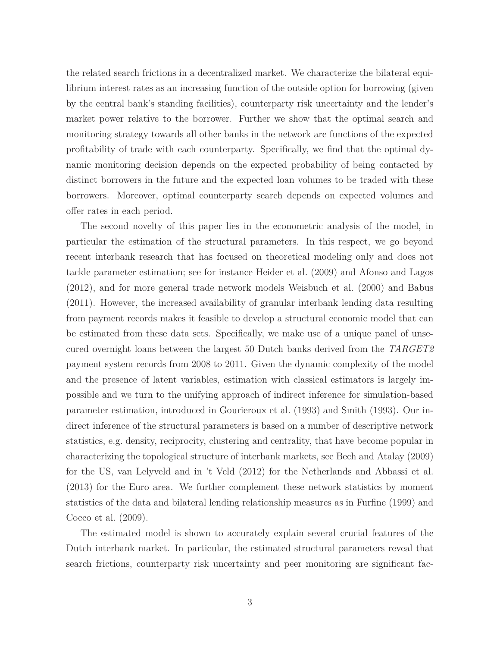the related search frictions in a decentralized market. We characterize the bilateral equilibrium interest rates as an increasing function of the outside option for borrowing (given by the central bank's standing facilities), counterparty risk uncertainty and the lender's market power relative to the borrower. Further we show that the optimal search and monitoring strategy towards all other banks in the network are functions of the expected profitability of trade with each counterparty. Specifically, we find that the optimal dynamic monitoring decision depends on the expected probability of being contacted by distinct borrowers in the future and the expected loan volumes to be traded with these borrowers. Moreover, optimal counterparty search depends on expected volumes and offer rates in each period.

The second novelty of this paper lies in the econometric analysis of the model, in particular the estimation of the structural parameters. In this respect, we go beyond recent interbank research that has focused on theoretical modeling only and does not tackle parameter estimation; see for instance Heider et al. (2009) and Afonso and Lagos (2012), and for more general trade network models Weisbuch et al. (2000) and Babus (2011). However, the increased availability of granular interbank lending data resulting from payment records makes it feasible to develop a structural economic model that can be estimated from these data sets. Specifically, we make use of a unique panel of unsecured overnight loans between the largest 50 Dutch banks derived from the *TARGET2* payment system records from 2008 to 2011. Given the dynamic complexity of the model and the presence of latent variables, estimation with classical estimators is largely impossible and we turn to the unifying approach of indirect inference for simulation-based parameter estimation, introduced in Gourieroux et al. (1993) and Smith (1993). Our indirect inference of the structural parameters is based on a number of descriptive network statistics, e.g. density, reciprocity, clustering and centrality, that have become popular in characterizing the topological structure of interbank markets, see Bech and Atalay (2009) for the US, van Lelyveld and in 't Veld (2012) for the Netherlands and Abbassi et al. (2013) for the Euro area. We further complement these network statistics by moment statistics of the data and bilateral lending relationship measures as in Furfine (1999) and Cocco et al. (2009).

The estimated model is shown to accurately explain several crucial features of the Dutch interbank market. In particular, the estimated structural parameters reveal that search frictions, counterparty risk uncertainty and peer monitoring are significant fac-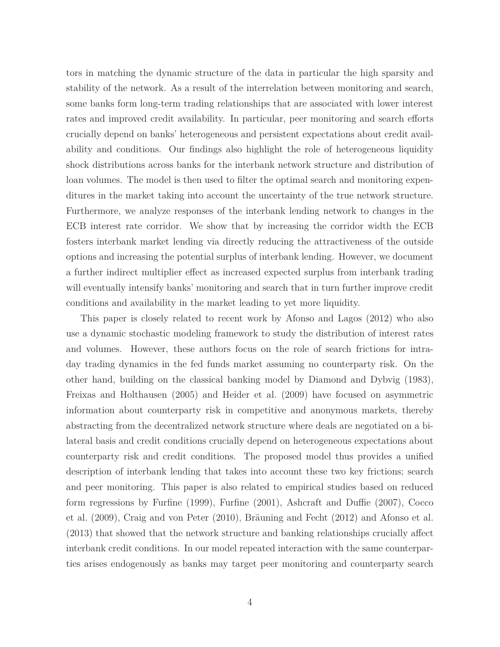tors in matching the dynamic structure of the data in particular the high sparsity and stability of the network. As a result of the interrelation between monitoring and search, some banks form long-term trading relationships that are associated with lower interest rates and improved credit availability. In particular, peer monitoring and search efforts crucially depend on banks' heterogeneous and persistent expectations about credit availability and conditions. Our findings also highlight the role of heterogeneous liquidity shock distributions across banks for the interbank network structure and distribution of loan volumes. The model is then used to filter the optimal search and monitoring expenditures in the market taking into account the uncertainty of the true network structure. Furthermore, we analyze responses of the interbank lending network to changes in the ECB interest rate corridor. We show that by increasing the corridor width the ECB fosters interbank market lending via directly reducing the attractiveness of the outside options and increasing the potential surplus of interbank lending. However, we document a further indirect multiplier effect as increased expected surplus from interbank trading will eventually intensify banks' monitoring and search that in turn further improve credit conditions and availability in the market leading to yet more liquidity.

This paper is closely related to recent work by Afonso and Lagos (2012) who also use a dynamic stochastic modeling framework to study the distribution of interest rates and volumes. However, these authors focus on the role of search frictions for intraday trading dynamics in the fed funds market assuming no counterparty risk. On the other hand, building on the classical banking model by Diamond and Dybvig (1983), Freixas and Holthausen (2005) and Heider et al. (2009) have focused on asymmetric information about counterparty risk in competitive and anonymous markets, thereby abstracting from the decentralized network structure where deals are negotiated on a bilateral basis and credit conditions crucially depend on heterogeneous expectations about counterparty risk and credit conditions. The proposed model thus provides a unified description of interbank lending that takes into account these two key frictions; search and peer monitoring. This paper is also related to empirical studies based on reduced form regressions by Furfine (1999), Furfine (2001), Ashcraft and Duffie (2007), Cocco et al. (2009), Craig and von Peter (2010), Bräuning and Fecht (2012) and Afonso et al. (2013) that showed that the network structure and banking relationships crucially affect interbank credit conditions. In our model repeated interaction with the same counterparties arises endogenously as banks may target peer monitoring and counterparty search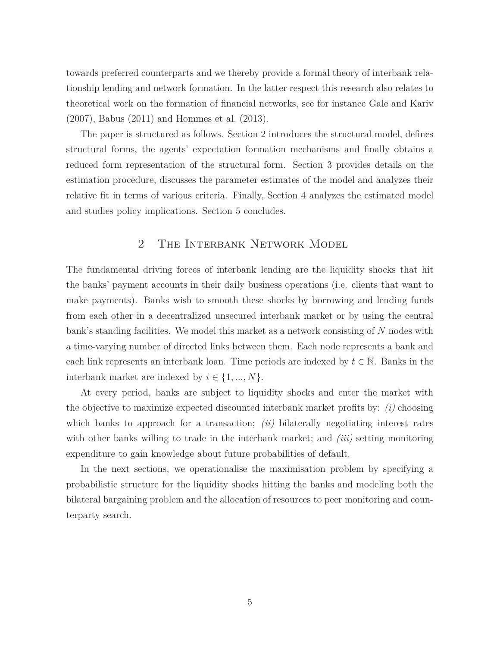towards preferred counterparts and we thereby provide a formal theory of interbank relationship lending and network formation. In the latter respect this research also relates to theoretical work on the formation of financial networks, see for instance Gale and Kariv (2007), Babus (2011) and Hommes et al. (2013).

The paper is structured as follows. Section 2 introduces the structural model, defines structural forms, the agents' expectation formation mechanisms and finally obtains a reduced form representation of the structural form. Section 3 provides details on the estimation procedure, discusses the parameter estimates of the model and analyzes their relative fit in terms of various criteria. Finally, Section 4 analyzes the estimated model and studies policy implications. Section 5 concludes.

## 2 The Interbank Network Model

The fundamental driving forces of interbank lending are the liquidity shocks that hit the banks' payment accounts in their daily business operations (i.e. clients that want to make payments). Banks wish to smooth these shocks by borrowing and lending funds from each other in a decentralized unsecured interbank market or by using the central bank's standing facilities. We model this market as a network consisting of *N* nodes with a time-varying number of directed links between them. Each node represents a bank and each link represents an interbank loan. Time periods are indexed by  $t \in \mathbb{N}$ . Banks in the interbank market are indexed by  $i \in \{1, ..., N\}$ .

At every period, banks are subject to liquidity shocks and enter the market with the objective to maximize expected discounted interbank market profits by: *(i)* choosing which banks to approach for a transaction; *(ii)* bilaterally negotiating interest rates with other banks willing to trade in the interbank market; and *(iii)* setting monitoring expenditure to gain knowledge about future probabilities of default.

In the next sections, we operationalise the maximisation problem by specifying a probabilistic structure for the liquidity shocks hitting the banks and modeling both the bilateral bargaining problem and the allocation of resources to peer monitoring and counterparty search.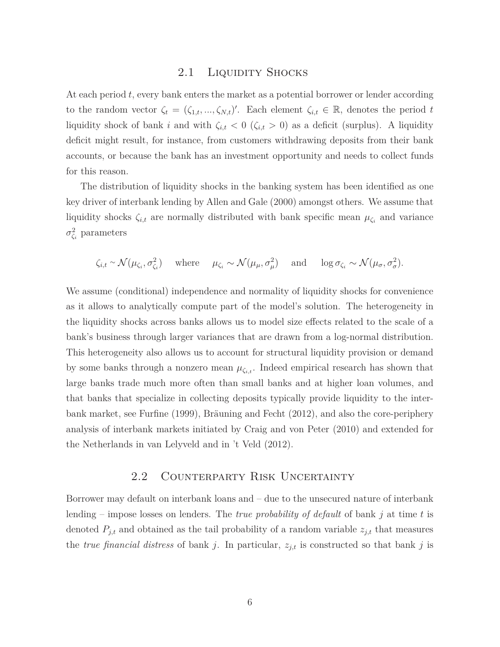#### 2.1 LIQUIDITY SHOCKS

At each period *t*, every bank enters the market as a potential borrower or lender according to the random vector  $\zeta_t = (\zeta_{1,t}, ..., \zeta_{N,t})'$ . Each element  $\zeta_{i,t} \in \mathbb{R}$ , denotes the period *t* liquidity shock of bank *i* and with  $\zeta_{i,t}$  < 0 ( $\zeta_{i,t}$  > 0) as a deficit (surplus). A liquidity deficit might result, for instance, from customers withdrawing deposits from their bank accounts, or because the bank has an investment opportunity and needs to collect funds for this reason.

The distribution of liquidity shocks in the banking system has been identified as one key driver of interbank lending by Allen and Gale (2000) amongst others. We assume that liquidity shocks  $\zeta_{i,t}$  are normally distributed with bank specific mean  $\mu_{\zeta_i}$  and variance *σ* 2 *ζi* parameters

$$
\zeta_{i,t} \sim \mathcal{N}(\mu_{\zeta_i}, \sigma_{\zeta_i}^2) \quad \text{where} \quad \mu_{\zeta_i} \sim \mathcal{N}(\mu_\mu, \sigma_\mu^2) \quad \text{and} \quad \log \sigma_{\zeta_i} \sim \mathcal{N}(\mu_\sigma, \sigma_\sigma^2).
$$

We assume (conditional) independence and normality of liquidity shocks for convenience as it allows to analytically compute part of the model's solution. The heterogeneity in the liquidity shocks across banks allows us to model size effects related to the scale of a bank's business through larger variances that are drawn from a log-normal distribution. This heterogeneity also allows us to account for structural liquidity provision or demand by some banks through a nonzero mean  $\mu_{\zeta_{i,t}}$ . Indeed empirical research has shown that large banks trade much more often than small banks and at higher loan volumes, and that banks that specialize in collecting deposits typically provide liquidity to the interbank market, see Furfine (1999), Bräuning and Fecht (2012), and also the core-periphery analysis of interbank markets initiated by Craig and von Peter (2010) and extended for the Netherlands in van Lelyveld and in 't Veld (2012).

## 2.2 Counterparty Risk Uncertainty

Borrower may default on interbank loans and – due to the unsecured nature of interbank lending – impose losses on lenders. The *true probability of default* of bank *j* at time *t* is denoted  $P_{j,t}$  and obtained as the tail probability of a random variable  $z_{j,t}$  that measures the *true financial distress* of bank *j*. In particular,  $z_{j,t}$  is constructed so that bank *j* is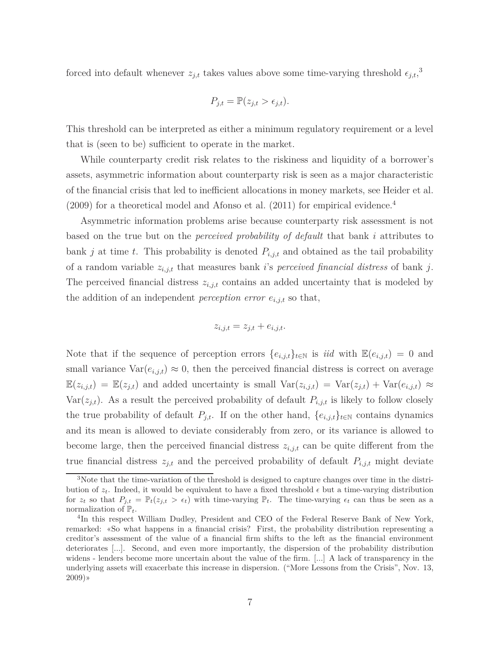forced into default whenever  $z_{j,t}$  takes values above some time-varying threshold  $\epsilon_{j,t}$ <sup>3</sup>,

$$
P_{j,t} = \mathbb{P}(z_{j,t} > \epsilon_{j,t}).
$$

This threshold can be interpreted as either a minimum regulatory requirement or a level that is (seen to be) sufficient to operate in the market.

While counterparty credit risk relates to the riskiness and liquidity of a borrower's assets, asymmetric information about counterparty risk is seen as a major characteristic of the financial crisis that led to inefficient allocations in money markets, see Heider et al.  $(2009)$  for a theoretical model and Afonso et al.  $(2011)$  for empirical evidence.<sup>4</sup>

Asymmetric information problems arise because counterparty risk assessment is not based on the true but on the *perceived probability of default* that bank *i* attributes to bank *j* at time *t*. This probability is denoted  $P_{i,j,t}$  and obtained as the tail probability of a random variable *zi,j,t* that measures bank *i*'s *perceived financial distress* of bank *j*. The perceived financial distress *zi,j,t* contains an added uncertainty that is modeled by the addition of an independent *perception error*  $e_{i,j,t}$  so that,

$$
z_{i,j,t} = z_{j,t} + e_{i,j,t}.
$$

Note that if the sequence of perception errors  $\{e_{i,j,t}\}_{t\in\mathbb{N}}$  is *iid* with  $\mathbb{E}(e_{i,j,t})=0$  and small variance  $Var(e_{i,j,t}) \approx 0$ , then the perceived financial distress is correct on average  $\mathbb{E}(z_{i,j,t}) = \mathbb{E}(z_{j,t})$  and added uncertainty is small  $\text{Var}(z_{i,j,t}) = \text{Var}(z_{j,t}) + \text{Var}(e_{i,j,t}) \approx$  $Var(z_{j,t})$ . As a result the perceived probability of default  $P_{i,j,t}$  is likely to follow closely the true probability of default  $P_{j,t}$ . If on the other hand,  $\{e_{i,j,t}\}_{t\in\mathbb{N}}$  contains dynamics and its mean is allowed to deviate considerably from zero, or its variance is allowed to become large, then the perceived financial distress *zi,j,t* can be quite different from the true financial distress  $z_{j,t}$  and the perceived probability of default  $P_{i,j,t}$  might deviate

<sup>&</sup>lt;sup>3</sup>Note that the time-variation of the threshold is designed to capture changes over time in the distribution of  $z_t$ . Indeed, it would be equivalent to have a fixed threshold  $\epsilon$  but a time-varying distribution for  $z_t$  so that  $P_{j,t} = \mathbb{P}_t(z_{j,t} > \epsilon_t)$  with time-varying  $\mathbb{P}_t$ . The time-varying  $\epsilon_t$  can thus be seen as a normalization of  $\mathbb{P}_t$ .

<sup>4</sup> In this respect William Dudley, President and CEO of the Federal Reserve Bank of New York, remarked: «So what happens in a financial crisis? First, the probability distribution representing a creditor's assessment of the value of a financial firm shifts to the left as the financial environment deteriorates [...]. Second, and even more importantly, the dispersion of the probability distribution widens - lenders become more uncertain about the value of the firm. [...] A lack of transparency in the underlying assets will exacerbate this increase in dispersion. ("More Lessons from the Crisis", Nov. 13,  $2009)$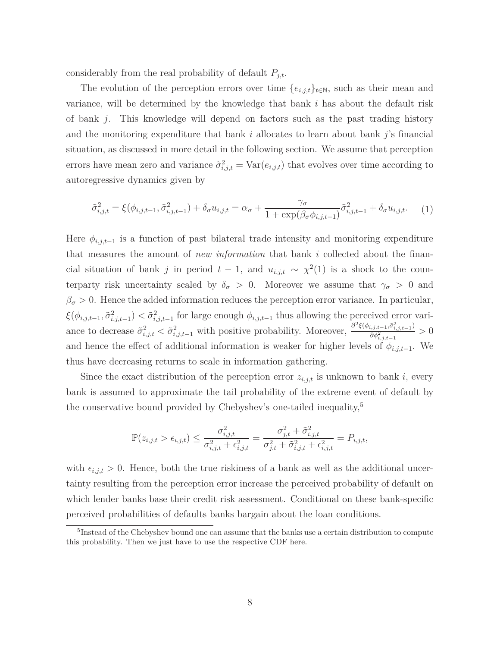considerably from the real probability of default  $P_{j,t}$ .

The evolution of the perception errors over time  ${e_{i,j,t}}_{t\in\mathbb{N}}$ , such as their mean and variance, will be determined by the knowledge that bank *i* has about the default risk of bank *j*. This knowledge will depend on factors such as the past trading history and the monitoring expenditure that bank *i* allocates to learn about bank *j*'s financial situation, as discussed in more detail in the following section. We assume that perception errors have mean zero and variance  $\tilde{\sigma}^2_{i,j,t} = \text{Var}(e_{i,j,t})$  that evolves over time according to autoregressive dynamics given by

$$
\tilde{\sigma}_{i,j,t}^2 = \xi(\phi_{i,j,t-1}, \tilde{\sigma}_{i,j,t-1}^2) + \delta_\sigma u_{i,j,t} = \alpha_\sigma + \frac{\gamma_\sigma}{1 + \exp(\beta_\sigma \phi_{i,j,t-1})} \tilde{\sigma}_{i,j,t-1}^2 + \delta_\sigma u_{i,j,t}.
$$
 (1)

Here  $\phi_{i,j,t-1}$  is a function of past bilateral trade intensity and monitoring expenditure that measures the amount of *new information* that bank *i* collected about the financial situation of bank *j* in period  $t-1$ , and  $u_{i,j,t} \sim \chi^2(1)$  is a shock to the counterparty risk uncertainty scaled by  $\delta_{\sigma} > 0$ . Moreover we assume that  $\gamma_{\sigma} > 0$  and  $\beta_{\sigma}$  > 0. Hence the added information reduces the perception error variance. In particular,  $\xi(\phi_{i,j,t-1}, \tilde{\sigma}_{i,j,t-1}^2) < \tilde{\sigma}_{i,j,t-1}^2$  for large enough  $\phi_{i,j,t-1}$  thus allowing the perceived error variance to decrease  $\tilde{\sigma}^2_{i,j,t} < \tilde{\sigma}^2_{i,j,t-1}$  with positive probability. Moreover,  $\frac{\partial^2 \xi(\phi_{i,j,t-1}, \tilde{\sigma}^2_{i,j,t-1})}{\partial \phi^2_{i,j,t-1}}$  $\frac{\partial \phi_{i,j,t-1}^2}{\partial \phi_{i,j,t-1}^2} > 0$ and hence the effect of additional information is weaker for higher levels of  $\phi_{i,i,t-1}$ . We thus have decreasing returns to scale in information gathering.

Since the exact distribution of the perception error  $z_{i,j,t}$  is unknown to bank *i*, every bank is assumed to approximate the tail probability of the extreme event of default by the conservative bound provided by Chebyshev's one-tailed inequality,<sup>5</sup>

$$
\mathbb{P}(z_{i,j,t} > \epsilon_{i,j,t}) \leq \frac{\sigma_{i,j,t}^2}{\sigma_{i,j,t}^2 + \epsilon_{i,j,t}^2} = \frac{\sigma_{j,t}^2 + \tilde{\sigma}_{i,j,t}^2}{\sigma_{j,t}^2 + \tilde{\sigma}_{i,j,t}^2 + \epsilon_{i,j,t}^2} = P_{i,j,t},
$$

with  $\epsilon_{i,j,t} > 0$ . Hence, both the true riskiness of a bank as well as the additional uncertainty resulting from the perception error increase the perceived probability of default on which lender banks base their credit risk assessment. Conditional on these bank-specific perceived probabilities of defaults banks bargain about the loan conditions.

<sup>&</sup>lt;sup>5</sup>Instead of the Chebyshev bound one can assume that the banks use a certain distribution to compute this probability. Then we just have to use the respective CDF here.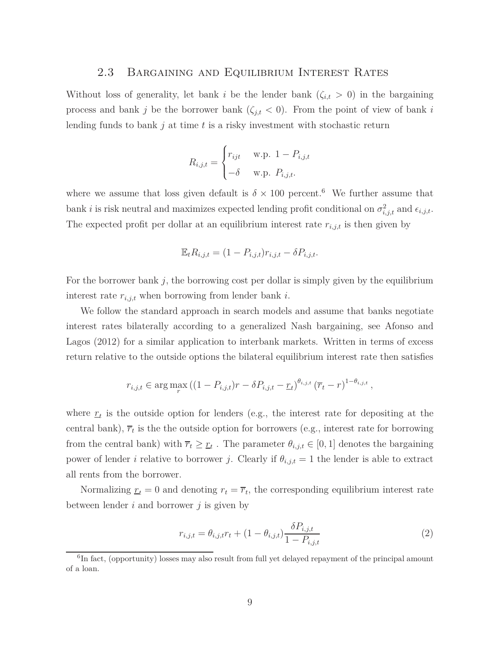#### 2.3 Bargaining and Equilibrium Interest Rates

Without loss of generality, let bank *i* be the lender bank  $(\zeta_{i,t} > 0)$  in the bargaining process and bank *j* be the borrower bank  $(\zeta_{j,t} < 0)$ . From the point of view of bank *i* lending funds to bank *j* at time *t* is a risky investment with stochastic return

$$
R_{i,j,t} = \begin{cases} r_{ijt} & \text{w.p. } 1 - P_{i,j,t} \\ -\delta & \text{w.p. } P_{i,j,t}. \end{cases}
$$

where we assume that loss given default is  $\delta \times 100$  percent.<sup>6</sup> We further assume that bank *i* is risk neutral and maximizes expected lending profit conditional on  $\sigma_{i,j,t}^2$  and  $\epsilon_{i,j,t}$ . The expected profit per dollar at an equilibrium interest rate  $r_{i,j,t}$  is then given by

$$
\mathbb{E}_t R_{i,j,t} = (1 - P_{i,j,t})r_{i,j,t} - \delta P_{i,j,t}.
$$

For the borrower bank *j*, the borrowing cost per dollar is simply given by the equilibrium interest rate *ri,j,t* when borrowing from lender bank *i*.

We follow the standard approach in search models and assume that banks negotiate interest rates bilaterally according to a generalized Nash bargaining, see Afonso and Lagos (2012) for a similar application to interbank markets. Written in terms of excess return relative to the outside options the bilateral equilibrium interest rate then satisfies

$$
r_{i,j,t} \in \arg \max_{r} \left( (1 - P_{i,j,t})r - \delta P_{i,j,t} - \underline{r}_t \right)^{\theta_{i,j,t}} \left( \overline{r}_t - r \right)^{1 - \theta_{i,j,t}},
$$

where  $r_t$  is the outside option for lenders (e.g., the interest rate for depositing at the central bank),  $\overline{r}_t$  is the the outside option for borrowers (e.g., interest rate for borrowing from the central bank) with  $\overline{r}_t \geq \underline{r}_t$ . The parameter  $\theta_{i,j,t} \in [0,1]$  denotes the bargaining power of lender *i* relative to borrower *j*. Clearly if  $\theta_{i,j,t} = 1$  the lender is able to extract all rents from the borrower.

Normalizing  $r_t = 0$  and denoting  $r_t = \overline{r}_t$ , the corresponding equilibrium interest rate between lender *i* and borrower *j* is given by

$$
r_{i,j,t} = \theta_{i,j,t} r_t + (1 - \theta_{i,j,t}) \frac{\delta P_{i,j,t}}{1 - P_{i,j,t}}
$$
(2)

<sup>&</sup>lt;sup>6</sup>In fact, (opportunity) losses may also result from full yet delayed repayment of the principal amount of a loan.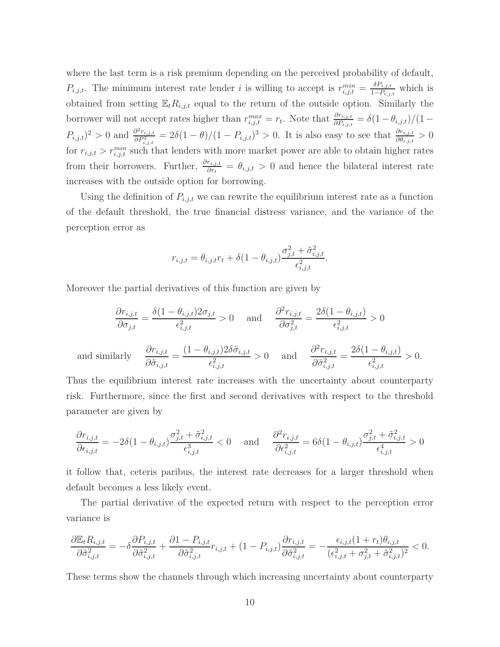where the last term is a risk premium depending on the perceived probability of default, *P*<sub>*i,j,t*</sub>. The minimum interest rate lender *i* is willing to accept is  $r_{i,j,t}^{min} = \frac{\delta P_{i,j,t}}{1-P_{i,j,t}}$  $\frac{^{0}F_{i,j,t}}{1-P_{i,j,t}}$  which is obtained from setting  $\mathbb{E}_t R_{i,j,t}$  equal to the return of the outside option. Similarly the borrower will not accept rates higher than  $r_{i,j,t}^{max} = r_t$ . Note that  $\frac{\partial r_{i,j,t}}{\partial P_{i,j,t}} = \delta(1 - \theta_{i,j,t})/(1 P_{i,j,t}$ <sup>2</sup> > 0 and  $\frac{\partial^2 r_{i,j,t}}{\partial P_{i,j,t}^2}$  $\frac{\partial^2 r_{i,j,t}}{\partial P_{i,j,t}^2} = 2\delta(1-\theta)/(1-P_{i,j,t})^3 > 0$ . It is also easy to see that  $\frac{\partial r_{i,j,t}}{\partial \theta_{i,j,t}} > 0$ for  $r_{i,j,t} > r_{i,j,t}^{min}$  such that lenders with more market power are able to obtain higher rates from their borrowers. Further,  $\frac{\partial r_{i,j,t}}{\partial r_t} = \theta_{i,j,t} > 0$  and hence the bilateral interest rate increases with the outside option for borrowing.

Using the definition of  $P_{i,j,t}$  we can rewrite the equilibrium interest rate as a function of the default threshold, the true financial distress variance, and the variance of the perception error as

$$
r_{i,j,t} = \theta_{i,j,t} r_t + \delta(1 - \theta_{i,j,t}) \frac{\sigma_{j,t}^2 + \tilde{\sigma}_{i,j,t}^2}{\epsilon_{i,j,t}^2}.
$$

Moreover the partial derivatives of this function are given by

$$
\frac{\partial r_{i,j,t}}{\partial \sigma_{j,t}} = \frac{\delta(1 - \theta_{i,j,t}) 2\sigma_{j,t}}{\epsilon_{i,j,t}^2} > 0 \quad \text{and} \quad \frac{\partial^2 r_{i,j,t}}{\partial \sigma_{j,t}^2} = \frac{2\delta(1 - \theta_{i,j,t})}{\epsilon_{i,j,t}^2} > 0
$$
\n
$$
\text{and similarly} \quad \frac{\partial r_{i,j,t}}{\partial \tilde{\sigma}_{i,j,t}} = \frac{(1 - \theta_{i,j,t}) 2\delta \tilde{\sigma}_{i,j,t}}{\epsilon_{i,j,t}^2} > 0 \quad \text{and} \quad \frac{\partial^2 r_{i,j,t}}{\partial \tilde{\sigma}_{i,j,t}^2} = \frac{2\delta(1 - \theta_{i,j,t})}{\epsilon_{i,j,t}^2} > 0.
$$

Thus the equilibrium interest rate increases with the uncertainty about counterparty risk. Furthermore, since the first and second derivatives with respect to the threshold parameter are given by

$$
\frac{\partial r_{i,j,t}}{\partial \epsilon_{i,j,t}} = -2\delta(1-\theta_{i,j,t})\frac{\sigma_{j,t}^2 + \tilde{\sigma}_{i,j,t}^2}{\epsilon_{i,j,t}^3} < 0 \quad \text{and} \quad \frac{\partial^2 r_{i,j,t}}{\partial \epsilon_{i,j,t}^2} = 6\delta(1-\theta_{i,j,t})\frac{\sigma_{j,t}^2 + \tilde{\sigma}_{i,j,t}^2}{\epsilon_{i,j,t}^4} > 0
$$

it follow that, ceteris paribus, the interest rate decreases for a larger threshold when default becomes a less likely event.

The partial derivative of the expected return with respect to the perception error variance is

$$
\frac{\partial \mathbb{E}_t R_{i,j,t}}{\partial \tilde{\sigma}_{i,j,t}^2} = -\delta \frac{\partial P_{i,j,t}}{\partial \tilde{\sigma}_{i,j,t}^2} + \frac{\partial 1 - P_{i,j,t}}{\partial \tilde{\sigma}_{i,j,t}^2} r_{i,j,t} + (1 - P_{i,j,t}) \frac{\partial r_{i,j,t}}{\partial \tilde{\sigma}_{i,j,t}^2} = -\frac{\epsilon_{i,j,t}(1 + r_t)\theta_{i,j,t}}{(\epsilon_{i,j,t}^2 + \sigma_{j,t}^2 + \tilde{\sigma}_{i,j,t}^2)^2} < 0.
$$

These terms show the channels through which increasing uncertainty about counterparty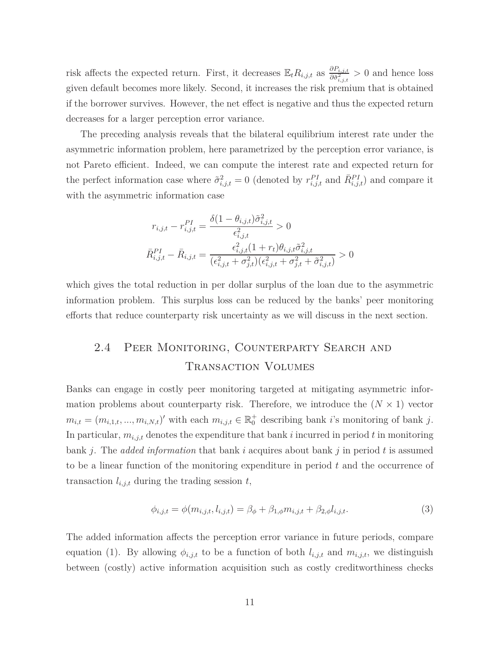risk affects the expected return. First, it decreases  $\mathbb{E}_t R_{i,j,t}$  as  $\frac{\partial P_{i,j,t}}{\partial \tilde{\sigma}^2}$  $\frac{\partial F_{i,j,t}}{\partial \tilde{\sigma}^2_{i,j,t}} > 0$  and hence loss given default becomes more likely. Second, it increases the risk premium that is obtained if the borrower survives. However, the net effect is negative and thus the expected return decreases for a larger perception error variance.

The preceding analysis reveals that the bilateral equilibrium interest rate under the asymmetric information problem, here parametrized by the perception error variance, is not Pareto efficient. Indeed, we can compute the interest rate and expected return for the perfect information case where  $\tilde{\sigma}^2_{i,j,t} = 0$  (denoted by  $r^{PI}_{i,j,t}$  and  $\bar{R}^{PI}_{i,j,t}$ ) and compare it with the asymmetric information case

$$
r_{i,j,t} - r_{i,j,t}^{PI} = \frac{\delta(1 - \theta_{i,j,t})\tilde{\sigma}_{i,j,t}^2}{\epsilon_{i,j,t}^2} > 0
$$
  

$$
\bar{R}_{i,j,t}^{PI} - \bar{R}_{i,j,t} = \frac{\epsilon_{i,j,t}^2(1 + r_t)\theta_{i,j,t}\tilde{\sigma}_{i,j,t}^2}{(\epsilon_{i,j,t}^2 + \sigma_{j,t}^2)(\epsilon_{i,j,t}^2 + \sigma_{j,t}^2 + \tilde{\sigma}_{i,j,t}^2)} > 0
$$

which gives the total reduction in per dollar surplus of the loan due to the asymmetric information problem. This surplus loss can be reduced by the banks' peer monitoring efforts that reduce counterparty risk uncertainty as we will discuss in the next section.

## 2.4 Peer Monitoring, Counterparty Search and Transaction Volumes

Banks can engage in costly peer monitoring targeted at mitigating asymmetric information problems about counterparty risk. Therefore, we introduce the  $(N \times 1)$  vector  $m_{i,t} = (m_{i,1,t}, ..., m_{i,N,t})'$  with each  $m_{i,j,t} \in \mathbb{R}_0^+$  describing bank *i*'s monitoring of bank *j*. In particular,  $m_{i,j,t}$  denotes the expenditure that bank  $i$  incurred in period  $t$  in monitoring bank *j*. The *added information* that bank *i* acquires about bank *j* in period *t* is assumed to be a linear function of the monitoring expenditure in period *t* and the occurrence of transaction  $l_{i,j,t}$  during the trading session  $t$ ,

$$
\phi_{i,j,t} = \phi(m_{i,j,t}, l_{i,j,t}) = \beta_{\phi} + \beta_{1,\phi} m_{i,j,t} + \beta_{2,\phi} l_{i,j,t}.
$$
\n(3)

The added information affects the perception error variance in future periods, compare equation (1). By allowing  $\phi_{i,j,t}$  to be a function of both  $l_{i,j,t}$  and  $m_{i,j,t}$ , we distinguish between (costly) active information acquisition such as costly creditworthiness checks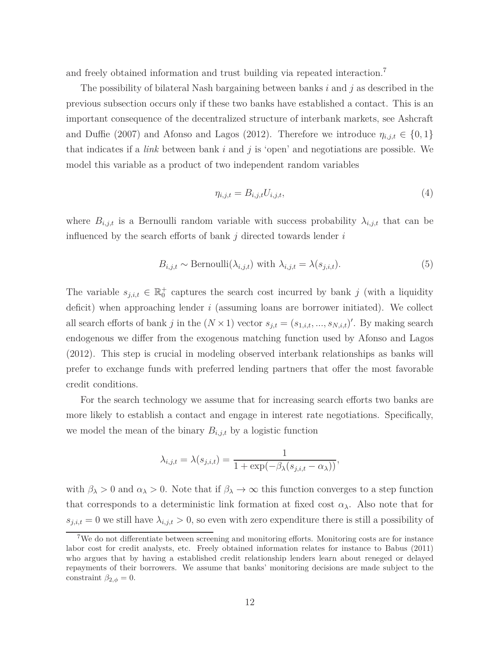and freely obtained information and trust building via repeated interaction.<sup>7</sup>

The possibility of bilateral Nash bargaining between banks *i* and *j* as described in the previous subsection occurs only if these two banks have established a contact. This is an important consequence of the decentralized structure of interbank markets, see Ashcraft and Duffie (2007) and Afonso and Lagos (2012). Therefore we introduce  $\eta_{i,j,t} \in \{0,1\}$ that indicates if a *link* between bank *i* and *j* is 'open' and negotiations are possible. We model this variable as a product of two independent random variables

$$
\eta_{i,j,t} = B_{i,j,t} U_{i,j,t},\tag{4}
$$

where  $B_{i,j,t}$  is a Bernoulli random variable with success probability  $\lambda_{i,j,t}$  that can be influenced by the search efforts of bank *j* directed towards lender *i*

$$
B_{i,j,t} \sim \text{Bernoulli}(\lambda_{i,j,t}) \text{ with } \lambda_{i,j,t} = \lambda(s_{j,i,t}). \tag{5}
$$

The variable  $s_{j,i,t} \in \mathbb{R}_0^+$  captures the search cost incurred by bank *j* (with a liquidity deficit) when approaching lender *i* (assuming loans are borrower initiated). We collect all search efforts of bank *j* in the  $(N \times 1)$  vector  $s_{j,t} = (s_{1,i,t}, ..., s_{N,i,t})'$ . By making search endogenous we differ from the exogenous matching function used by Afonso and Lagos (2012). This step is crucial in modeling observed interbank relationships as banks will prefer to exchange funds with preferred lending partners that offer the most favorable credit conditions.

For the search technology we assume that for increasing search efforts two banks are more likely to establish a contact and engage in interest rate negotiations. Specifically, we model the mean of the binary  $B_{i,j,t}$  by a logistic function

$$
\lambda_{i,j,t} = \lambda(s_{j,i,t}) = \frac{1}{1 + \exp(-\beta_{\lambda}(s_{j,i,t} - \alpha_{\lambda}))},
$$

with  $\beta_{\lambda} > 0$  and  $\alpha_{\lambda} > 0$ . Note that if  $\beta_{\lambda} \to \infty$  this function converges to a step function that corresponds to a deterministic link formation at fixed cost  $\alpha_{\lambda}$ . Also note that for  $s_{j,i,t} = 0$  we still have  $\lambda_{i,j,t} > 0$ , so even with zero expenditure there is still a possibility of

<sup>7</sup>We do not differentiate between screening and monitoring efforts. Monitoring costs are for instance labor cost for credit analysts, etc. Freely obtained information relates for instance to Babus (2011) who argues that by having a established credit relationship lenders learn about reneged or delayed repayments of their borrowers. We assume that banks' monitoring decisions are made subject to the constraint  $\beta_{2,\phi} = 0$ .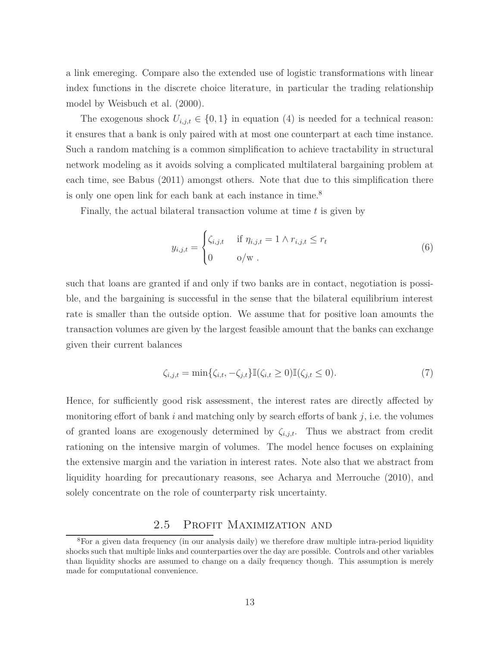a link emereging. Compare also the extended use of logistic transformations with linear index functions in the discrete choice literature, in particular the trading relationship model by Weisbuch et al. (2000).

The exogenous shock  $U_{i,j,t} \in \{0,1\}$  in equation (4) is needed for a technical reason: it ensures that a bank is only paired with at most one counterpart at each time instance. Such a random matching is a common simplification to achieve tractability in structural network modeling as it avoids solving a complicated multilateral bargaining problem at each time, see Babus (2011) amongst others. Note that due to this simplification there is only one open link for each bank at each instance in time.<sup>8</sup>

Finally, the actual bilateral transaction volume at time *t* is given by

$$
y_{i,j,t} = \begin{cases} \zeta_{i,j,t} & \text{if } \eta_{i,j,t} = 1 \land r_{i,j,t} \le r_t \\ 0 & o/w \end{cases}
$$
 (6)

such that loans are granted if and only if two banks are in contact, negotiation is possible, and the bargaining is successful in the sense that the bilateral equilibrium interest rate is smaller than the outside option. We assume that for positive loan amounts the transaction volumes are given by the largest feasible amount that the banks can exchange given their current balances

$$
\zeta_{i,j,t} = \min \{ \zeta_{i,t}, -\zeta_{j,t} \} \mathbb{I}(\zeta_{i,t} \ge 0) \mathbb{I}(\zeta_{j,t} \le 0). \tag{7}
$$

Hence, for sufficiently good risk assessment, the interest rates are directly affected by monitoring effort of bank *i* and matching only by search efforts of bank *j*, i.e. the volumes of granted loans are exogenously determined by *ζi,j,t*. Thus we abstract from credit rationing on the intensive margin of volumes. The model hence focuses on explaining the extensive margin and the variation in interest rates. Note also that we abstract from liquidity hoarding for precautionary reasons, see Acharya and Merrouche (2010), and solely concentrate on the role of counterparty risk uncertainty.

## 2.5 PROFIT MAXIMIZATION AND

<sup>&</sup>lt;sup>8</sup>For a given data frequency (in our analysis daily) we therefore draw multiple intra-period liquidity shocks such that multiple links and counterparties over the day are possible. Controls and other variables than liquidity shocks are assumed to change on a daily frequency though. This assumption is merely made for computational convenience.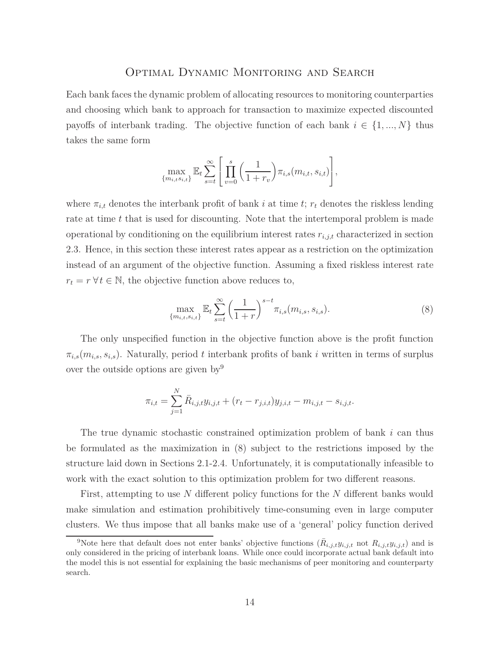#### Optimal Dynamic Monitoring and Search

Each bank faces the dynamic problem of allocating resources to monitoring counterparties and choosing which bank to approach for transaction to maximize expected discounted payoffs of interbank trading. The objective function of each bank  $i \in \{1, ..., N\}$  thus takes the same form

$$
\max_{\{m_{i,t}s_{i,t}\}} \mathbb{E}_t \sum_{s=t}^{\infty} \left[ \prod_{v=0}^s \left( \frac{1}{1+r_v} \right) \pi_{i,s}(m_{i,t}, s_{i,t}) \right],
$$

where  $\pi_{i,t}$  denotes the interbank profit of bank *i* at time *t*;  $r_t$  denotes the riskless lending rate at time *t* that is used for discounting. Note that the intertemporal problem is made operational by conditioning on the equilibrium interest rates  $r_{i,j,t}$  characterized in section 2.3. Hence, in this section these interest rates appear as a restriction on the optimization instead of an argument of the objective function. Assuming a fixed riskless interest rate  $r_t = r \,\forall t \in \mathbb{N}$ , the objective function above reduces to,

$$
\max_{\{m_{i,t}, s_{i,t}\}} \mathbb{E}_t \sum_{s=t}^{\infty} \left(\frac{1}{1+r}\right)^{s-t} \pi_{i,s}(m_{i,s}, s_{i,s}). \tag{8}
$$

The only unspecified function in the objective function above is the profit function  $\pi_{i,s}(m_{i,s}, s_{i,s})$ . Naturally, period *t* interbank profits of bank *i* written in terms of surplus over the outside options are given by  $9$ 

$$
\pi_{i,t} = \sum_{j=1}^{N} \bar{R}_{i,j,t} y_{i,j,t} + (r_t - r_{j,i,t}) y_{j,i,t} - m_{i,j,t} - s_{i,j,t}.
$$

The true dynamic stochastic constrained optimization problem of bank *i* can thus be formulated as the maximization in (8) subject to the restrictions imposed by the structure laid down in Sections 2.1-2.4. Unfortunately, it is computationally infeasible to work with the exact solution to this optimization problem for two different reasons.

First, attempting to use *N* different policy functions for the *N* different banks would make simulation and estimation prohibitively time-consuming even in large computer clusters. We thus impose that all banks make use of a 'general' policy function derived

<sup>&</sup>lt;sup>9</sup>Note here that default does not enter banks' objective functions  $(\bar{R}_{i,j,t}y_{i,j,t}$  not  $R_{i,j,t}y_{i,j,t})$  and is only considered in the pricing of interbank loans. While once could incorporate actual bank default into the model this is not essential for explaining the basic mechanisms of peer monitoring and counterparty search.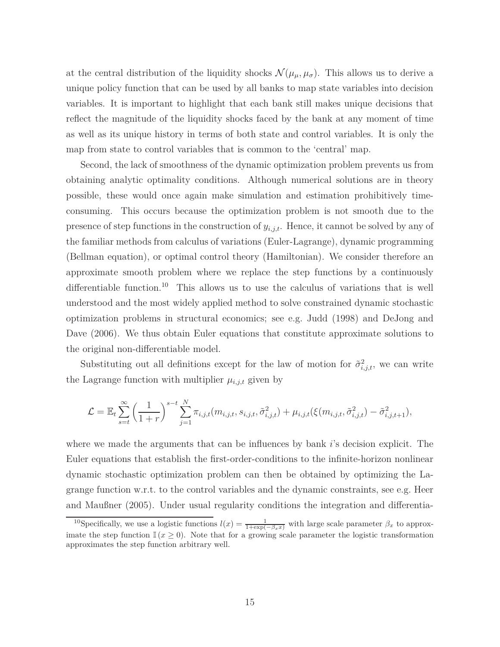at the central distribution of the liquidity shocks  $\mathcal{N}(\mu_{\mu}, \mu_{\sigma})$ . This allows us to derive a unique policy function that can be used by all banks to map state variables into decision variables. It is important to highlight that each bank still makes unique decisions that reflect the magnitude of the liquidity shocks faced by the bank at any moment of time as well as its unique history in terms of both state and control variables. It is only the map from state to control variables that is common to the 'central' map.

Second, the lack of smoothness of the dynamic optimization problem prevents us from obtaining analytic optimality conditions. Although numerical solutions are in theory possible, these would once again make simulation and estimation prohibitively timeconsuming. This occurs because the optimization problem is not smooth due to the presence of step functions in the construction of *yi,j,t*. Hence, it cannot be solved by any of the familiar methods from calculus of variations (Euler-Lagrange), dynamic programming (Bellman equation), or optimal control theory (Hamiltonian). We consider therefore an approximate smooth problem where we replace the step functions by a continuously differentiable function.<sup>10</sup> This allows us to use the calculus of variations that is well understood and the most widely applied method to solve constrained dynamic stochastic optimization problems in structural economics; see e.g. Judd (1998) and DeJong and Dave (2006). We thus obtain Euler equations that constitute approximate solutions to the original non-differentiable model.

Substituting out all definitions except for the law of motion for  $\tilde{\sigma}^2_{i,j,t}$ , we can write the Lagrange function with multiplier  $\mu_{i,j,t}$  given by

$$
\mathcal{L} = \mathbb{E}_t \sum_{s=t}^{\infty} \left( \frac{1}{1+r} \right)^{s-t} \sum_{j=1}^{N} \pi_{i,j,t}(m_{i,j,t}, s_{i,j,t}, \tilde{\sigma}_{i,j,t}^2) + \mu_{i,j,t}(\xi(m_{i,j,t}, \tilde{\sigma}_{i,j,t}^2) - \tilde{\sigma}_{i,j,t+1}^2),
$$

where we made the arguments that can be influences by bank *i*'s decision explicit. The Euler equations that establish the first-order-conditions to the infinite-horizon nonlinear dynamic stochastic optimization problem can then be obtained by optimizing the Lagrange function w.r.t. to the control variables and the dynamic constraints, see e.g. Heer and Maußner (2005). Under usual regularity conditions the integration and differentia-

<sup>&</sup>lt;sup>10</sup>Specifically, we use a logistic functions  $l(x) = \frac{1}{1+\exp(-\beta_x x)}$  with large scale parameter  $\beta_x$  to approximate the step function  $\mathbb{I}(x \geq 0)$ . Note that for a growing scale parameter the logistic transformation approximates the step function arbitrary well.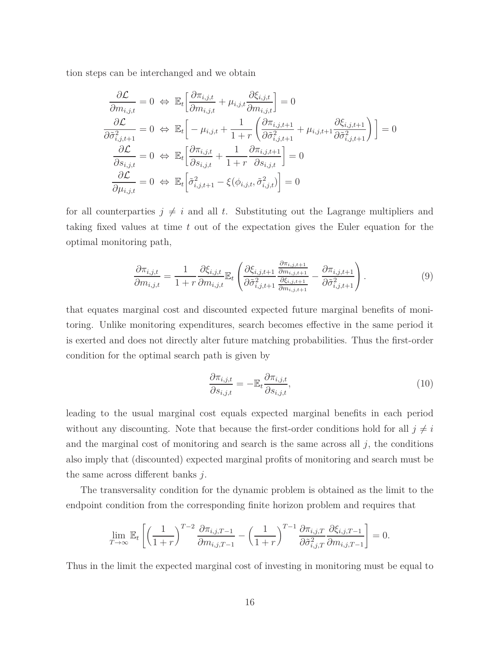tion steps can be interchanged and we obtain

$$
\frac{\partial \mathcal{L}}{\partial m_{i,j,t}} = 0 \Leftrightarrow \mathbb{E}_{t} \left[ \frac{\partial \pi_{i,j,t}}{\partial m_{i,j,t}} + \mu_{i,j,t} \frac{\partial \xi_{i,j,t}}{\partial m_{i,j,t}} \right] = 0
$$
\n
$$
\frac{\partial \mathcal{L}}{\partial \tilde{\sigma}_{i,j,t+1}^{2}} = 0 \Leftrightarrow \mathbb{E}_{t} \left[ -\mu_{i,j,t} + \frac{1}{1+r} \left( \frac{\partial \pi_{i,j,t+1}}{\partial \tilde{\sigma}_{i,j,t+1}^{2}} + \mu_{i,j,t+1} \frac{\partial \xi_{i,j,t+1}}{\partial \tilde{\sigma}_{i,j,t+1}^{2}} \right) \right] = 0
$$
\n
$$
\frac{\partial \mathcal{L}}{\partial s_{i,j,t}} = 0 \Leftrightarrow \mathbb{E}_{t} \left[ \frac{\partial \pi_{i,j,t}}{\partial s_{i,j,t}} + \frac{1}{1+r} \frac{\partial \pi_{i,j,t+1}}{\partial s_{i,j,t}} \right] = 0
$$
\n
$$
\frac{\partial \mathcal{L}}{\partial \mu_{i,j,t}} = 0 \Leftrightarrow \mathbb{E}_{t} \left[ \tilde{\sigma}_{i,j,t+1}^{2} - \xi(\phi_{i,j,t}, \tilde{\sigma}_{i,j,t}^{2}) \right] = 0
$$

for all counterparties  $j \neq i$  and all t. Substituting out the Lagrange multipliers and taking fixed values at time *t* out of the expectation gives the Euler equation for the optimal monitoring path,

$$
\frac{\partial \pi_{i,j,t}}{\partial m_{i,j,t}} = \frac{1}{1+r} \frac{\partial \xi_{i,j,t}}{\partial m_{i,j,t}} \mathbb{E}_t \left( \frac{\partial \xi_{i,j,t+1}}{\partial \tilde{\sigma}_{i,j,t+1}^2} \frac{\frac{\partial \pi_{i,j,t+1}}{\partial m_{i,j,t+1}}}{\frac{\partial \xi_{i,j,t+1}}{\partial m_{i,j,t+1}}} - \frac{\partial \pi_{i,j,t+1}}{\partial \tilde{\sigma}_{i,j,t+1}^2} \right).
$$
(9)

that equates marginal cost and discounted expected future marginal benefits of monitoring. Unlike monitoring expenditures, search becomes effective in the same period it is exerted and does not directly alter future matching probabilities. Thus the first-order condition for the optimal search path is given by

$$
\frac{\partial \pi_{i,j,t}}{\partial s_{i,j,t}} = -\mathbb{E}_t \frac{\partial \pi_{i,j,t}}{\partial s_{i,j,t}},\tag{10}
$$

leading to the usual marginal cost equals expected marginal benefits in each period without any discounting. Note that because the first-order conditions hold for all  $j \neq i$ and the marginal cost of monitoring and search is the same across all  $j$ , the conditions also imply that (discounted) expected marginal profits of monitoring and search must be the same across different banks *j*.

The transversality condition for the dynamic problem is obtained as the limit to the endpoint condition from the corresponding finite horizon problem and requires that

$$
\lim_{T \to \infty} \mathbb{E}_t \left[ \left( \frac{1}{1+r} \right)^{T-2} \frac{\partial \pi_{i,j,T-1}}{\partial m_{i,j,T-1}} - \left( \frac{1}{1+r} \right)^{T-1} \frac{\partial \pi_{i,j,T}}{\partial \tilde{\sigma}_{i,j,T}^2} \frac{\partial \xi_{i,j,T-1}}{\partial m_{i,j,T-1}} \right] = 0.
$$

Thus in the limit the expected marginal cost of investing in monitoring must be equal to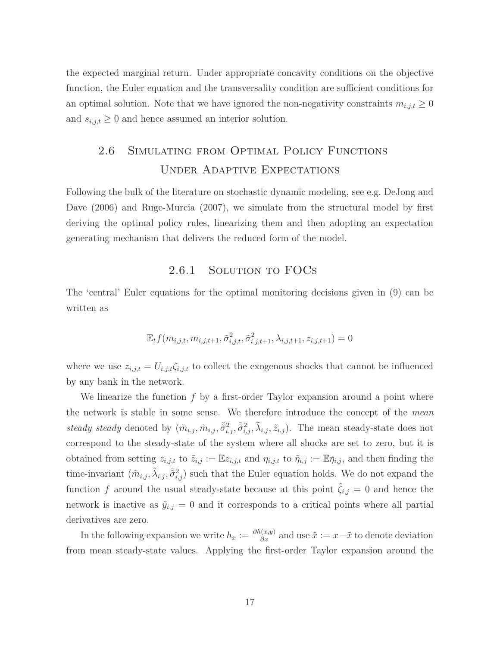the expected marginal return. Under appropriate concavity conditions on the objective function, the Euler equation and the transversality condition are sufficient conditions for an optimal solution. Note that we have ignored the non-negativity constraints  $m_{i,j,t} \geq 0$ and  $s_{i,j,t} \geq 0$  and hence assumed an interior solution.

## 2.6 Simulating from Optimal Policy Functions Under Adaptive Expectations

Following the bulk of the literature on stochastic dynamic modeling, see e.g. DeJong and Dave (2006) and Ruge-Murcia (2007), we simulate from the structural model by first deriving the optimal policy rules, linearizing them and then adopting an expectation generating mechanism that delivers the reduced form of the model.

### 2.6.1 SOLUTION TO FOCS

The 'central' Euler equations for the optimal monitoring decisions given in (9) can be written as

$$
\mathbb{E}_{t} f(m_{i,j,t}, m_{i,j,t+1}, \tilde{\sigma}_{i,j,t}^2, \tilde{\sigma}_{i,j,t+1}^2, \lambda_{i,j,t+1}, z_{i,j,t+1}) = 0
$$

where we use  $z_{i,j,t} = U_{i,j,t} \zeta_{i,j,t}$  to collect the exogenous shocks that cannot be influenced by any bank in the network.

We linearize the function *f* by a first-order Taylor expansion around a point where the network is stable in some sense. We therefore introduce the concept of the *mean* steady steady denoted by  $(\tilde{m}_{i,j}, \tilde{m}_{i,j}, \tilde{\tilde{\sigma}}_{i,j}^2, \tilde{\tilde{\sigma}}_{i,j}^2, \tilde{\lambda}_{i,j}, \tilde{z}_{i,j})$ . The mean steady-state does not correspond to the steady-state of the system where all shocks are set to zero, but it is obtained from setting  $z_{i,j,t}$  to  $\tilde{z}_{i,j} := \mathbb{E} z_{i,j,t}$  and  $\eta_{i,j,t}$  to  $\tilde{\eta}_{i,j} := \mathbb{E} \eta_{i,j}$ , and then finding the time-invariant  $(\tilde{m}_{i,j}, \tilde{\lambda}_{i,j}, \tilde{\tilde{\sigma}}_{i,j}^2)$  such that the Euler equation holds. We do not expand the function *f* around the usual steady-state because at this point  $\hat{\zeta}_{i,j} = 0$  and hence the network is inactive as  $\tilde{y}_{i,j} = 0$  and it corresponds to a critical points where all partial derivatives are zero.

In the following expansion we write  $h_x := \frac{\partial h(x,y)}{\partial x}$  and use  $\hat{x} := x - \tilde{x}$  to denote deviation from mean steady-state values. Applying the first-order Taylor expansion around the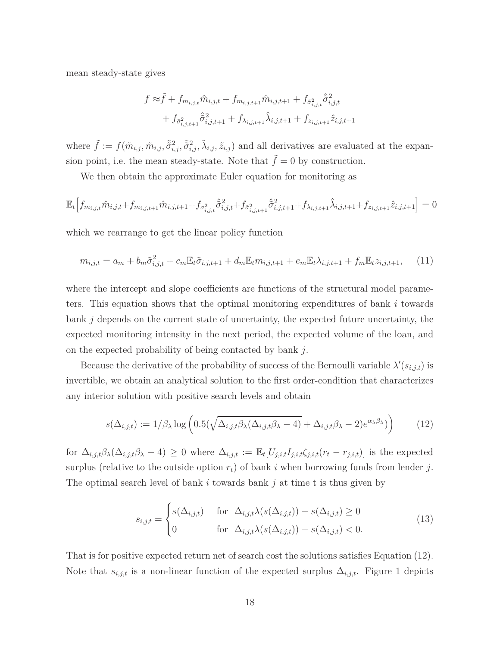mean steady-state gives

$$
f \approx \tilde{f} + f_{m_{i,j,t}} \hat{m}_{i,j,t} + f_{m_{i,j,t+1}} \hat{m}_{i,j,t+1} + f_{\tilde{\sigma}_{i,j,t}}^2 \hat{\tilde{\sigma}}_{i,j,t}^2 + f_{\tilde{\sigma}_{i,j,t+1}} \hat{\tilde{\sigma}}_{i,j,t+1}^2 + f_{\lambda_{i,j,t+1}} \hat{\lambda}_{i,j,t+1} + f_{z_{i,j,t+1}} \hat{z}_{i,j,t+1}
$$

where  $\tilde{f} := f(\tilde{m}_{i,j}, \tilde{m}_{i,j}, \tilde{\tilde{\sigma}}_{i,j}^2, \tilde{\tilde{\sigma}}_{i,j}^2, \tilde{\lambda}_{i,j}, \tilde{z}_{i,j})$  and all derivatives are evaluated at the expansion point, i.e. the mean steady-state. Note that  $\tilde{f} = 0$  by construction.

We then obtain the approximate Euler equation for monitoring as

$$
\mathbb{E}_{t}\Big[f_{m_{i,j,t}}\hat{m}_{i,j,t}+f_{m_{i,j,t+1}}\hat{m}_{i,j,t+1}+f_{\sigma_{i,j,t}^{2}}\hat{\sigma}_{i,j,t}^{2}+f_{\tilde{\sigma}_{i,j,t+1}^{2}}\hat{\sigma}_{i,j,t+1}^{2}+f_{\lambda_{i,j,t+1}}\hat{\lambda}_{i,j,t+1}+f_{z_{i,j,t+1}}\hat{z}_{i,j,t+1}\Big]=0
$$

which we rearrange to get the linear policy function

$$
m_{i,j,t} = a_m + b_m \tilde{\sigma}_{i,j,t}^2 + c_m \mathbb{E}_t \tilde{\sigma}_{i,j,t+1} + d_m \mathbb{E}_t m_{i,j,t+1} + e_m \mathbb{E}_t \lambda_{i,j,t+1} + f_m \mathbb{E}_t z_{i,j,t+1}, \quad (11)
$$

where the intercept and slope coefficients are functions of the structural model parameters. This equation shows that the optimal monitoring expenditures of bank *i* towards bank *j* depends on the current state of uncertainty, the expected future uncertainty, the expected monitoring intensity in the next period, the expected volume of the loan, and on the expected probability of being contacted by bank *j*.

Because the derivative of the probability of success of the Bernoulli variable  $\lambda'(s_{i,j,t})$  is invertible, we obtain an analytical solution to the first order-condition that characterizes any interior solution with positive search levels and obtain

$$
s(\Delta_{i,j,t}) := 1/\beta_{\lambda} \log \left( 0.5(\sqrt{\Delta_{i,j,t}\beta_{\lambda}(\Delta_{i,j,t}\beta_{\lambda} - 4)} + \Delta_{i,j,t}\beta_{\lambda} - 2)e^{\alpha_{\lambda}\beta_{\lambda}}) \right) \tag{12}
$$

for  $\Delta_{i,j,t}\beta_{\lambda}(\Delta_{i,j,t}\beta_{\lambda}-4)\geq 0$  where  $\Delta_{i,j,t}:=\mathbb{E}_{t}[U_{j,i,t}I_{j,i,t}\zeta_{j,i,t}(r_{t}-r_{j,i,t})]$  is the expected surplus (relative to the outside option  $r_t$ ) of bank *i* when borrowing funds from lender *j*. The optimal search level of bank *i* towards bank *j* at time t is thus given by

$$
s_{i,j,t} = \begin{cases} s(\Delta_{i,j,t}) & \text{for } \Delta_{i,j,t}\lambda(s(\Delta_{i,j,t})) - s(\Delta_{i,j,t}) \ge 0\\ 0 & \text{for } \Delta_{i,j,t}\lambda(s(\Delta_{i,j,t})) - s(\Delta_{i,j,t}) < 0. \end{cases}
$$
(13)

That is for positive expected return net of search cost the solutions satisfies Equation (12). Note that  $s_{i,j,t}$  is a non-linear function of the expected surplus  $\Delta_{i,j,t}$ . Figure 1 depicts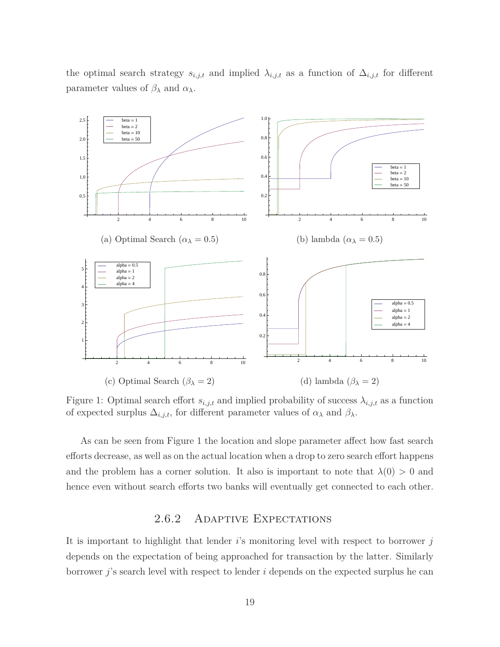the optimal search strategy  $s_{i,j,t}$  and implied  $\lambda_{i,j,t}$  as a function of  $\Delta_{i,j,t}$  for different parameter values of *β<sup>λ</sup>* and *αλ*.



Figure 1: Optimal search effort  $s_{i,j,t}$  and implied probability of success  $\lambda_{i,j,t}$  as a function of expected surplus  $\Delta_{i,j,t}$ , for different parameter values of  $\alpha_{\lambda}$  and  $\beta_{\lambda}$ .

As can be seen from Figure 1 the location and slope parameter affect how fast search efforts decrease, as well as on the actual location when a drop to zero search effort happens and the problem has a corner solution. It also is important to note that  $\lambda(0) > 0$  and hence even without search efforts two banks will eventually get connected to each other.

### 2.6.2 Adaptive Expectations

It is important to highlight that lender *i*'s monitoring level with respect to borrower *j* depends on the expectation of being approached for transaction by the latter. Similarly borrower *j*'s search level with respect to lender *i* depends on the expected surplus he can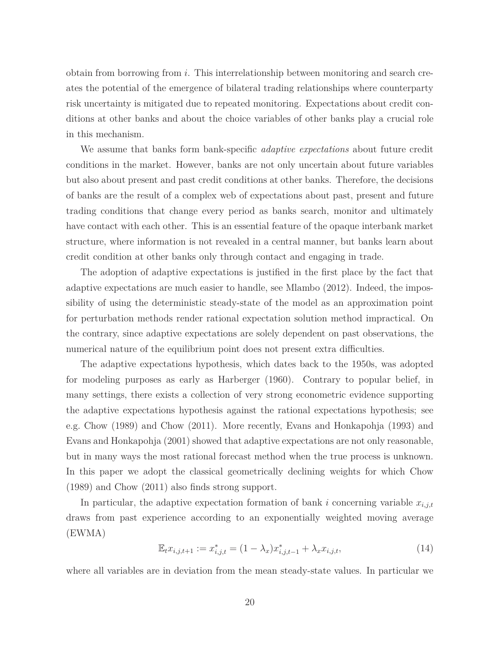obtain from borrowing from *i*. This interrelationship between monitoring and search creates the potential of the emergence of bilateral trading relationships where counterparty risk uncertainty is mitigated due to repeated monitoring. Expectations about credit conditions at other banks and about the choice variables of other banks play a crucial role in this mechanism.

We assume that banks form bank-specific *adaptive expectations* about future credit conditions in the market. However, banks are not only uncertain about future variables but also about present and past credit conditions at other banks. Therefore, the decisions of banks are the result of a complex web of expectations about past, present and future trading conditions that change every period as banks search, monitor and ultimately have contact with each other. This is an essential feature of the opaque interbank market structure, where information is not revealed in a central manner, but banks learn about credit condition at other banks only through contact and engaging in trade.

The adoption of adaptive expectations is justified in the first place by the fact that adaptive expectations are much easier to handle, see Mlambo (2012). Indeed, the impossibility of using the deterministic steady-state of the model as an approximation point for perturbation methods render rational expectation solution method impractical. On the contrary, since adaptive expectations are solely dependent on past observations, the numerical nature of the equilibrium point does not present extra difficulties.

The adaptive expectations hypothesis, which dates back to the 1950s, was adopted for modeling purposes as early as Harberger (1960). Contrary to popular belief, in many settings, there exists a collection of very strong econometric evidence supporting the adaptive expectations hypothesis against the rational expectations hypothesis; see e.g. Chow (1989) and Chow (2011). More recently, Evans and Honkapohja (1993) and Evans and Honkapohja (2001) showed that adaptive expectations are not only reasonable, but in many ways the most rational forecast method when the true process is unknown. In this paper we adopt the classical geometrically declining weights for which Chow (1989) and Chow (2011) also finds strong support.

In particular, the adaptive expectation formation of bank  $i$  concerning variable  $x_{i,j,t}$ draws from past experience according to an exponentially weighted moving average (EWMA)

$$
\mathbb{E}_t x_{i,j,t+1} := x_{i,j,t}^* = (1 - \lambda_x) x_{i,j,t-1}^* + \lambda_x x_{i,j,t},
$$
\n(14)

where all variables are in deviation from the mean steady-state values. In particular we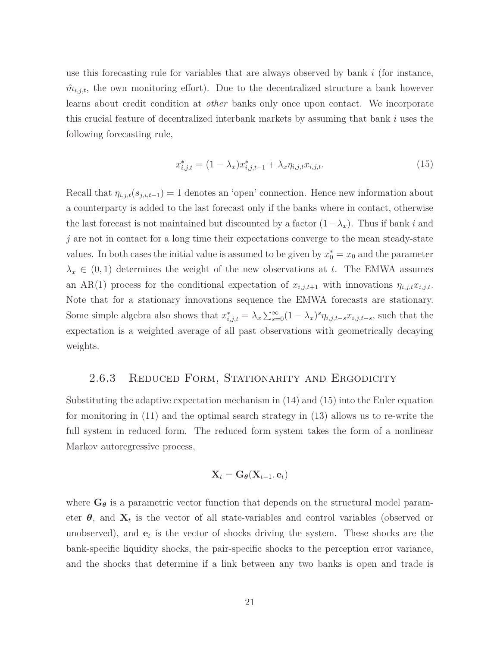use this forecasting rule for variables that are always observed by bank *i* (for instance,  $\hat{m}_{i,j,t}$ , the own monitoring effort). Due to the decentralized structure a bank however learns about credit condition at *other* banks only once upon contact. We incorporate this crucial feature of decentralized interbank markets by assuming that bank *i* uses the following forecasting rule,

$$
x_{i,j,t}^* = (1 - \lambda_x)x_{i,j,t-1}^* + \lambda_x \eta_{i,j,t} x_{i,j,t}.
$$
\n(15)

Recall that  $\eta_{i,j,t}(s_{j,i,t-1}) = 1$  denotes an 'open' connection. Hence new information about a counterparty is added to the last forecast only if the banks where in contact, otherwise the last forecast is not maintained but discounted by a factor  $(1-\lambda_x)$ . Thus if bank *i* and *j* are not in contact for a long time their expectations converge to the mean steady-state values. In both cases the initial value is assumed to be given by  $x_0^* = x_0$  and the parameter  $\lambda_x \in (0,1)$  determines the weight of the new observations at *t*. The EMWA assumes an AR(1) process for the conditional expectation of  $x_{i,j,t+1}$  with innovations  $\eta_{i,j,t}x_{i,j,t}$ . Note that for a stationary innovations sequence the EMWA forecasts are stationary. Some simple algebra also shows that  $x_{i,j,t}^* = \lambda_x \sum_{s=0}^{\infty} (1 - \lambda_x)^s \eta_{i,j,t-s} x_{i,j,t-s}$ , such that the expectation is a weighted average of all past observations with geometrically decaying weights.

#### 2.6.3 REDUCED FORM, STATIONARITY AND ERGODICITY

Substituting the adaptive expectation mechanism in (14) and (15) into the Euler equation for monitoring in (11) and the optimal search strategy in (13) allows us to re-write the full system in reduced form. The reduced form system takes the form of a nonlinear Markov autoregressive process,

$$
\mathbf{X}_t = \mathbf{G}_{\theta}(\mathbf{X}_{t-1}, \mathbf{e}_t)
$$

where  $G_{\theta}$  is a parametric vector function that depends on the structural model parameter  $\theta$ , and  $\mathbf{X}_t$  is the vector of all state-variables and control variables (observed or unobserved), and **e***<sup>t</sup>* is the vector of shocks driving the system. These shocks are the bank-specific liquidity shocks, the pair-specific shocks to the perception error variance, and the shocks that determine if a link between any two banks is open and trade is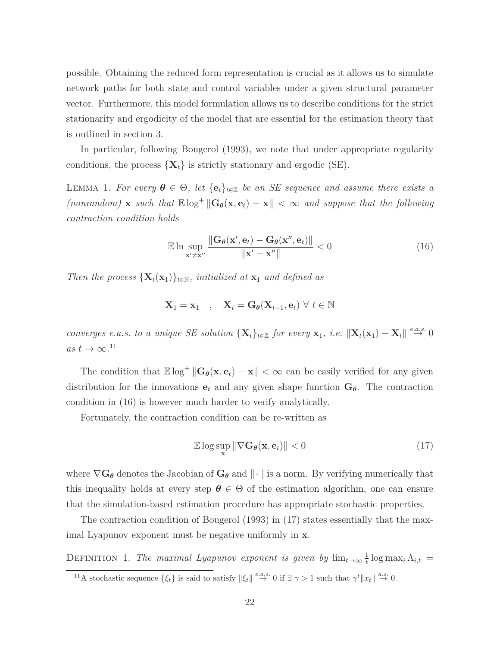possible. Obtaining the reduced form representation is crucial as it allows us to simulate network paths for both state and control variables under a given structural parameter vector. Furthermore, this model formulation allows us to describe conditions for the strict stationarity and ergodicity of the model that are essential for the estimation theory that is outlined in section 3.

In particular, following Bougerol (1993), we note that under appropriate regularity conditions, the process  $\{X_t\}$  is strictly stationary and ergodic (SE).

LEMMA 1. *For every*  $\theta \in \Theta$ , let  $\{e_t\}_{t \in \mathbb{Z}}$  *be an SE sequence and assume there exists a*  $(non random)$  **x** *such that*  $\mathbb{E} \log^+ \| \mathbf{G}_{\theta}(\mathbf{x}, \mathbf{e}_t) - \mathbf{x} \| < \infty$  *and suppose that the following contraction condition holds*

$$
\mathbb{E} \ln \sup_{\mathbf{x}' \neq \mathbf{x}''} \frac{\|\mathbf{G}_{\theta}(\mathbf{x}', \mathbf{e}_t) - \mathbf{G}_{\theta}(\mathbf{x}'', \mathbf{e}_t)\|}{\|\mathbf{x}' - \mathbf{x}''\|} < 0 \tag{16}
$$

*Then the process*  $\{X_t(x_1)\}_{t \in \mathbb{N}}$ *, initialized at*  $x_1$  *and defined as* 

$$
\mathbf{X}_1 = \mathbf{x}_1 \quad , \quad \mathbf{X}_t = \mathbf{G}_{\theta}(\mathbf{X}_{t-1}, \mathbf{e}_t) \ \forall \ t \in \mathbb{N}
$$

*converges e.a.s. to a unique SE solution*  ${\mathbf\{X}_t\}_{t \in \mathbb{Z}}$  *for every*  $\mathbf{x}_1$ *, i.e.*  $\|\mathbf{X}_t(\mathbf{x}_1) - \mathbf{X}_t\| \stackrel{e.a.s.}{\rightarrow} 0$  $as t \to \infty$ <sup>11</sup>

The condition that  $\mathbb{E} \log^+ \| \mathbf{G}_{\theta}(\mathbf{x}, \mathbf{e}_t) - \mathbf{x} \| < \infty$  can be easily verified for any given distribution for the innovations  $e_t$  and any given shape function  $G_\theta$ . The contraction condition in (16) is however much harder to verify analytically.

Fortunately, the contraction condition can be re-written as

$$
\mathbb{E}\log\sup_{\mathbf{x}}\|\nabla\mathbf{G}_{\theta}(\mathbf{x},\mathbf{e}_t)\| < 0
$$
\n(17)

where  $\nabla G_{\theta}$  denotes the Jacobian of  $G_{\theta}$  and  $\|\cdot\|$  is a norm. By verifying numerically that this inequality holds at every step  $\theta \in \Theta$  of the estimation algorithm, one can ensure that the simulation-based estimation procedure has appropriate stochastic properties.

The contraction condition of Bougerol (1993) in (17) states essentially that the maximal Lyapunov exponent must be negative uniformly in **x**.

DEFINITION 1. *The maximal Lyapunov exponent is given by*  $\lim_{t\to\infty} \frac{1}{t}$  $\frac{1}{t}$  log max<sub>*i*</sub>  $\Lambda_{i,t}$  =

<sup>&</sup>lt;sup>11</sup>A stochastic sequence  $\{\xi_t\}$  is said to satisfy  $\|\xi_t\| \stackrel{e.a.s.}{\rightarrow} 0$  if  $\exists \gamma > 1$  such that  $\gamma^t \|x_t\| \stackrel{a.s.}{\rightarrow} 0$ .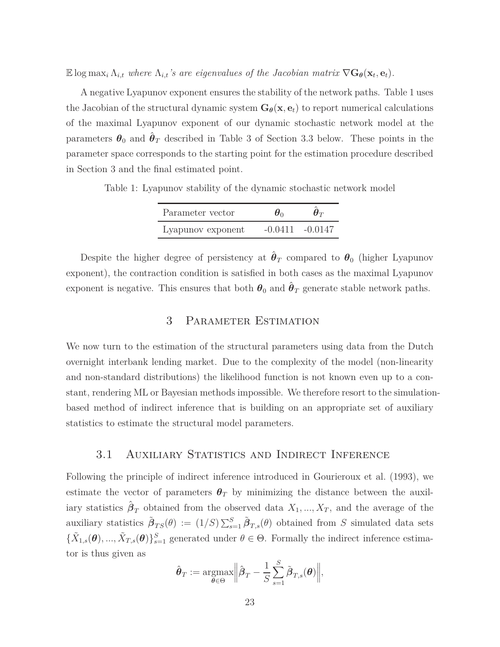E log max<sub>*i*</sub>  $\Lambda_{i,t}$  where  $\Lambda_{i,t}$ 's are eigenvalues of the Jacobian matrix  $\nabla G_{\theta}(\mathbf{x}_t, \mathbf{e}_t)$ .

A negative Lyapunov exponent ensures the stability of the network paths. Table 1 uses the Jacobian of the structural dynamic system  $G_{\theta}(\mathbf{x}, \mathbf{e}_t)$  to report numerical calculations of the maximal Lyapunov exponent of our dynamic stochastic network model at the parameters  $\theta_0$  and  $\hat{\theta}_T$  described in Table 3 of Section 3.3 below. These points in the parameter space corresponds to the starting point for the estimation procedure described in Section 3 and the final estimated point.

Table 1: Lyapunov stability of the dynamic stochastic network model

| Parameter vector  | $\boldsymbol{\theta}$ | $\bm{\theta}_T$ |  |
|-------------------|-----------------------|-----------------|--|
| Lyapunov exponent | $-0.0411 - 0.0147$    |                 |  |

Despite the higher degree of persistency at  $\hat{\theta}_T$  compared to  $\theta_0$  (higher Lyapunov exponent), the contraction condition is satisfied in both cases as the maximal Lyapunov exponent is negative. This ensures that both  $\theta_0$  and  $\hat{\theta}_T$  generate stable network paths.

### 3 Parameter Estimation

We now turn to the estimation of the structural parameters using data from the Dutch overnight interbank lending market. Due to the complexity of the model (non-linearity and non-standard distributions) the likelihood function is not known even up to a constant, rendering ML or Bayesian methods impossible. We therefore resort to the simulationbased method of indirect inference that is building on an appropriate set of auxiliary statistics to estimate the structural model parameters.

### 3.1 Auxiliary Statistics and Indirect Inference

Following the principle of indirect inference introduced in Gourieroux et al. (1993), we estimate the vector of parameters  $\theta_T$  by minimizing the distance between the auxiliary statistics  $\hat{\boldsymbol{\beta}}_T$  obtained from the observed data  $X_1, ..., X_T$ , and the average of the auxiliary statistics  $\tilde{\beta}_{TS}(\theta) := (1/S) \sum_{s=1}^{S} \tilde{\beta}_{T,s}(\theta)$  obtained from *S* simulated data sets  ${\{\tilde{X}_{1,s}(\boldsymbol{\theta}), ..., \tilde{X}_{T,s}(\boldsymbol{\theta})\}_{s=1}^S}$  generated under  $\theta \in \Theta$ . Formally the indirect inference estimator is thus given as

$$
\hat{\boldsymbol{\theta}}_T := \operatorname*{argmax}_{\boldsymbol{\theta} \in \Theta} \Big\|\hat{\boldsymbol{\beta}}_T - \frac{1}{S} \sum_{s=1}^S \tilde{\boldsymbol{\beta}}_{T,s}(\boldsymbol{\theta}) \Big\|,
$$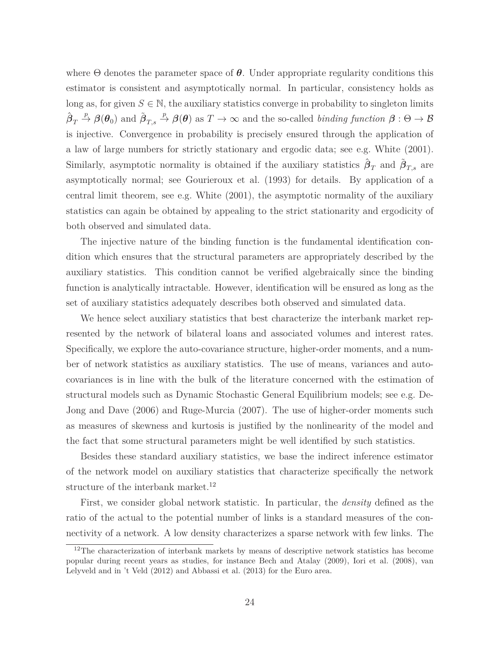where Θ denotes the parameter space of *θ*. Under appropriate regularity conditions this estimator is consistent and asymptotically normal. In particular, consistency holds as long as, for given  $S \in \mathbb{N}$ , the auxiliary statistics converge in probability to singleton limits  $\hat{\beta}_T \stackrel{p}{\rightarrow} \beta(\theta_0)$  and  $\tilde{\beta}_{T,s} \stackrel{p}{\rightarrow} \beta(\theta)$  as  $T \rightarrow \infty$  and the so-called *binding function*  $\beta : \Theta \rightarrow \mathcal{B}$ is injective. Convergence in probability is precisely ensured through the application of a law of large numbers for strictly stationary and ergodic data; see e.g. White (2001). Similarly, asymptotic normality is obtained if the auxiliary statistics  $\hat{\beta}_T$  and  $\tilde{\beta}_{T,s}$  are asymptotically normal; see Gourieroux et al. (1993) for details. By application of a central limit theorem, see e.g. White (2001), the asymptotic normality of the auxiliary statistics can again be obtained by appealing to the strict stationarity and ergodicity of both observed and simulated data.

The injective nature of the binding function is the fundamental identification condition which ensures that the structural parameters are appropriately described by the auxiliary statistics. This condition cannot be verified algebraically since the binding function is analytically intractable. However, identification will be ensured as long as the set of auxiliary statistics adequately describes both observed and simulated data.

We hence select auxiliary statistics that best characterize the interbank market represented by the network of bilateral loans and associated volumes and interest rates. Specifically, we explore the auto-covariance structure, higher-order moments, and a number of network statistics as auxiliary statistics. The use of means, variances and autocovariances is in line with the bulk of the literature concerned with the estimation of structural models such as Dynamic Stochastic General Equilibrium models; see e.g. De-Jong and Dave (2006) and Ruge-Murcia (2007). The use of higher-order moments such as measures of skewness and kurtosis is justified by the nonlinearity of the model and the fact that some structural parameters might be well identified by such statistics.

Besides these standard auxiliary statistics, we base the indirect inference estimator of the network model on auxiliary statistics that characterize specifically the network structure of the interbank market.<sup>12</sup>

First, we consider global network statistic. In particular, the *density* defined as the ratio of the actual to the potential number of links is a standard measures of the connectivity of a network. A low density characterizes a sparse network with few links. The

<sup>&</sup>lt;sup>12</sup>The characterization of interbank markets by means of descriptive network statistics has become popular during recent years as studies, for instance Bech and Atalay (2009), Iori et al. (2008), van Lelyveld and in 't Veld (2012) and Abbassi et al. (2013) for the Euro area.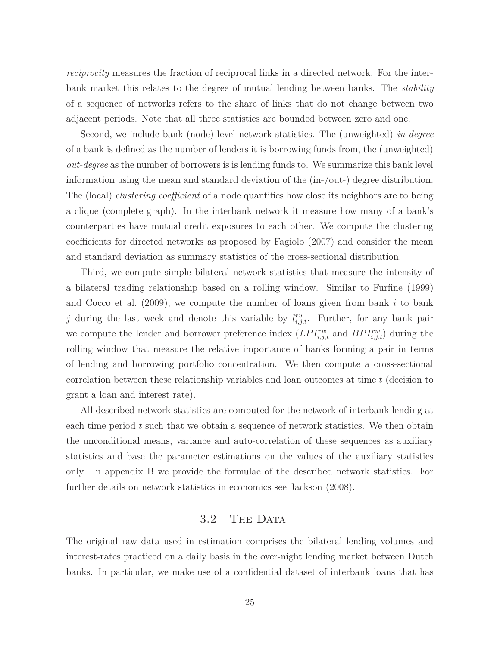*reciprocity* measures the fraction of reciprocal links in a directed network. For the interbank market this relates to the degree of mutual lending between banks. The *stability* of a sequence of networks refers to the share of links that do not change between two adjacent periods. Note that all three statistics are bounded between zero and one.

Second, we include bank (node) level network statistics. The (unweighted) *in-degree* of a bank is defined as the number of lenders it is borrowing funds from, the (unweighted) *out-degree* as the number of borrowers is is lending funds to. We summarize this bank level information using the mean and standard deviation of the (in-/out-) degree distribution. The (local) *clustering coefficient* of a node quantifies how close its neighbors are to being a clique (complete graph). In the interbank network it measure how many of a bank's counterparties have mutual credit exposures to each other. We compute the clustering coefficients for directed networks as proposed by Fagiolo (2007) and consider the mean and standard deviation as summary statistics of the cross-sectional distribution.

Third, we compute simple bilateral network statistics that measure the intensity of a bilateral trading relationship based on a rolling window. Similar to Furfine (1999) and Cocco et al. (2009), we compute the number of loans given from bank *i* to bank *j* during the last week and denote this variable by  $l_{i,j,t}^{rw}$ . Further, for any bank pair we compute the lender and borrower preference index  $(LPI_{i,j,t}^{rw}$  and  $BPI_{i,j,t}^{rw})$  during the rolling window that measure the relative importance of banks forming a pair in terms of lending and borrowing portfolio concentration. We then compute a cross-sectional correlation between these relationship variables and loan outcomes at time *t* (decision to grant a loan and interest rate).

All described network statistics are computed for the network of interbank lending at each time period *t* such that we obtain a sequence of network statistics. We then obtain the unconditional means, variance and auto-correlation of these sequences as auxiliary statistics and base the parameter estimations on the values of the auxiliary statistics only. In appendix B we provide the formulae of the described network statistics. For further details on network statistics in economics see Jackson (2008).

#### 3.2 THE DATA

The original raw data used in estimation comprises the bilateral lending volumes and interest-rates practiced on a daily basis in the over-night lending market between Dutch banks. In particular, we make use of a confidential dataset of interbank loans that has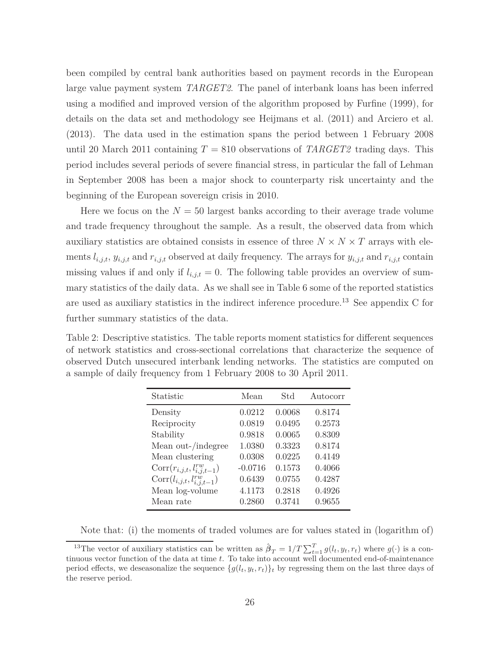been compiled by central bank authorities based on payment records in the European large value payment system *TARGET2*. The panel of interbank loans has been inferred using a modified and improved version of the algorithm proposed by Furfine (1999), for details on the data set and methodology see Heijmans et al. (2011) and Arciero et al. (2013). The data used in the estimation spans the period between 1 February 2008 until 20 March 2011 containing  $T = 810$  observations of *TARGET2* trading days. This period includes several periods of severe financial stress, in particular the fall of Lehman in September 2008 has been a major shock to counterparty risk uncertainty and the beginning of the European sovereign crisis in 2010.

Here we focus on the  $N = 50$  largest banks according to their average trade volume and trade frequency throughout the sample. As a result, the observed data from which auxiliary statistics are obtained consists in essence of three  $N \times N \times T$  arrays with elements  $l_{i,j,t}$ ,  $y_{i,j,t}$  and  $r_{i,j,t}$  observed at daily frequency. The arrays for  $y_{i,j,t}$  and  $r_{i,j,t}$  contain missing values if and only if  $l_{i,j,t} = 0$ . The following table provides an overview of summary statistics of the daily data. As we shall see in Table 6 some of the reported statistics are used as auxiliary statistics in the indirect inference procedure.<sup>13</sup> See appendix C for further summary statistics of the data.

Table 2: Descriptive statistics. The table reports moment statistics for different sequences of network statistics and cross-sectional correlations that characterize the sequence of observed Dutch unsecured interbank lending networks. The statistics are computed on a sample of daily frequency from 1 February 2008 to 30 April 2011.

| Statistic                           | Mean      | Std    | Autocorr |
|-------------------------------------|-----------|--------|----------|
| Density                             | 0.0212    | 0.0068 | 0.8174   |
| Reciprocity                         | 0.0819    | 0.0495 | 0.2573   |
| Stability                           | 0.9818    | 0.0065 | 0.8309   |
| Mean out-/indegree                  | 1.0380    | 0.3323 | 0.8174   |
| Mean clustering                     | 0.0308    | 0.0225 | 0.4149   |
| $Corr(r_{i,j,t}, l_{i,j,t-1}^{rw})$ | $-0.0716$ | 0.1573 | 0.4066   |
| $Corr(l_{i,j,t}, l_{i,j,t-1}^{rw})$ | 0.6439    | 0.0755 | 0.4287   |
| Mean log-volume                     | 4.1173    | 0.2818 | 0.4926   |
| Mean rate                           | 0.2860    | 0.3741 | 0.9655   |
|                                     |           |        |          |

Note that: (i) the moments of traded volumes are for values stated in (logarithm of)

<sup>&</sup>lt;sup>13</sup>The vector of auxiliary statistics can be written as  $\hat{\beta}_T = 1/T \sum_{t=1}^T g(l_t, y_t, r_t)$  where  $g(\cdot)$  is a continuous vector function of the data at time *t*. To take into account well documented end-of-maintenance period effects, we deseasonalize the sequence  $\{g(l_t, y_t, r_t)\}_t$  by regressing them on the last three days of the reserve period.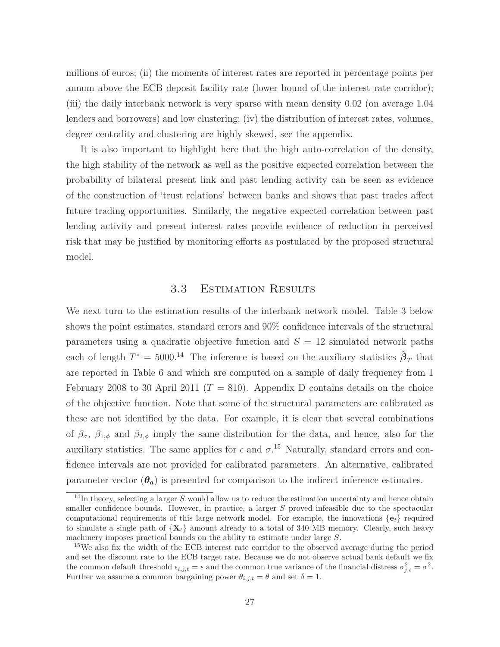millions of euros; (ii) the moments of interest rates are reported in percentage points per annum above the ECB deposit facility rate (lower bound of the interest rate corridor); (iii) the daily interbank network is very sparse with mean density 0.02 (on average 1.04 lenders and borrowers) and low clustering; (iv) the distribution of interest rates, volumes, degree centrality and clustering are highly skewed, see the appendix.

It is also important to highlight here that the high auto-correlation of the density, the high stability of the network as well as the positive expected correlation between the probability of bilateral present link and past lending activity can be seen as evidence of the construction of 'trust relations' between banks and shows that past trades affect future trading opportunities. Similarly, the negative expected correlation between past lending activity and present interest rates provide evidence of reduction in perceived risk that may be justified by monitoring efforts as postulated by the proposed structural model.

### 3.3 Estimation Results

We next turn to the estimation results of the interbank network model. Table 3 below shows the point estimates, standard errors and 90% confidence intervals of the structural parameters using a quadratic objective function and  $S = 12$  simulated network paths each of length  $T^* = 5000$ <sup>14</sup> The inference is based on the auxiliary statistics  $\hat{\beta}_T$  that are reported in Table 6 and which are computed on a sample of daily frequency from 1 February 2008 to 30 April 2011 ( $T = 810$ ). Appendix D contains details on the choice of the objective function. Note that some of the structural parameters are calibrated as these are not identified by the data. For example, it is clear that several combinations of  $\beta_{\sigma}$ ,  $\beta_{1,\phi}$  and  $\beta_{2,\phi}$  imply the same distribution for the data, and hence, also for the auxiliary statistics. The same applies for  $\epsilon$  and  $\sigma$ <sup>15</sup> Naturally, standard errors and confidence intervals are not provided for calibrated parameters. An alternative, calibrated parameter vector  $(\theta_a)$  is presented for comparison to the indirect inference estimates.

<sup>&</sup>lt;sup>14</sup>In theory, selecting a larger *S* would allow us to reduce the estimation uncertainty and hence obtain smaller confidence bounds. However, in practice, a larger *S* proved infeasible due to the spectacular computational requirements of this large network model. For example, the innovations  $\{e_t\}$  required to simulate a single path of  $\{X_t\}$  amount already to a total of 340 MB memory. Clearly, such heavy machinery imposes practical bounds on the ability to estimate under large *S*.

<sup>&</sup>lt;sup>15</sup>We also fix the width of the ECB interest rate corridor to the observed average during the period and set the discount rate to the ECB target rate. Because we do not observe actual bank default we fix the common default threshold  $\epsilon_{i,j,t} = \epsilon$  and the common true variance of the financial distress  $\sigma_{j,t}^2 = \sigma^2$ . Further we assume a common bargaining power  $\theta_{i,j,t} = \theta$  and set  $\delta = 1$ .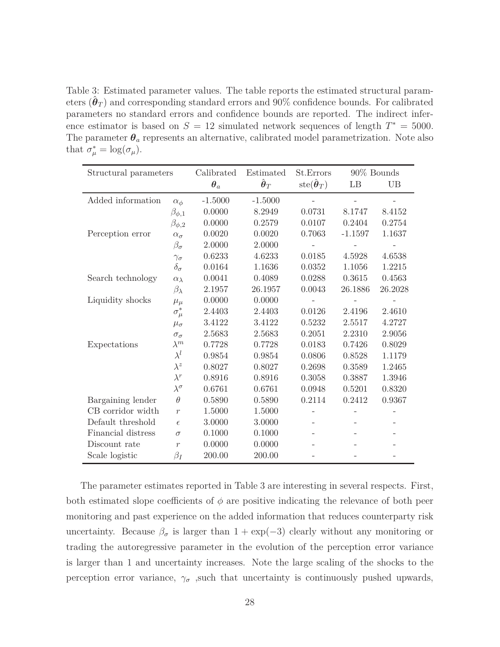Table 3: Estimated parameter values. The table reports the estimated structural parameters  $(\hat{\boldsymbol{\theta}}_T)$  and corresponding standard errors and  $90\%$  confidence bounds. For calibrated parameters no standard errors and confidence bounds are reported. The indirect inference estimator is based on  $S = 12$  simulated network sequences of length  $T^* = 5000$ . The parameter  $\theta_a$  represents an alternative, calibrated model parametrization. Note also that  $\sigma^*_{\mu} = \log(\sigma_{\mu}).$ 

| Structural parameters |                    | Calibrated              | Estimated                     | St.Errors                                 |                   | 90% Bounds |  |
|-----------------------|--------------------|-------------------------|-------------------------------|-------------------------------------------|-------------------|------------|--|
|                       |                    | $\boldsymbol{\theta}_a$ | $\hat{\boldsymbol{\theta}}_T$ | $\text{ste}(\hat{\boldsymbol{\theta}}_T)$ | LB                | <b>UB</b>  |  |
| Added information     | $\alpha_{\phi}$    | $-1.5000$               | $-1.5000$                     |                                           |                   |            |  |
|                       | $\beta_{\phi,1}$   | 0.0000                  | 8.2949                        | 0.0731                                    | 8.1747            | 8.4152     |  |
|                       | $\beta_{\phi,2}$   | 0.0000                  | 0.2579                        | 0.0107                                    | 0.2404            | 0.2754     |  |
| Perception error      | $\alpha_{\sigma}$  | 0.0020                  | 0.0020                        | 0.7063                                    | $-1.1597$         | 1.1637     |  |
|                       | $\beta_{\sigma}$   | 2.0000                  | 2.0000                        |                                           |                   |            |  |
|                       | $\gamma_{\sigma}$  | 0.6233                  | 4.6233                        | 0.0185                                    | 4.5928            | 4.6538     |  |
|                       | $\delta_{\sigma}$  | 0.0164                  | 1.1636                        | 0.0352                                    | 1.1056            | 1.2215     |  |
| Search technology     | $\alpha_{\lambda}$ | 0.0041                  | 0.4089                        | 0.0288                                    | 0.3615            | 0.4563     |  |
|                       | $\beta_{\lambda}$  | 2.1957                  | 26.1957                       | 0.0043                                    | 26.1886           | 26.2028    |  |
| Liquidity shocks      | $\mu_{\mu}$        | 0.0000                  | 0.0000                        |                                           |                   |            |  |
|                       | $\sigma^*_{\mu}$   | 2.4403                  | 2.4403                        | 0.0126                                    | 2.4196            | 2.4610     |  |
|                       | $\mu_{\sigma}$     | 3.4122                  | 3.4122                        | 0.5232                                    | 2.5517            | 4.2727     |  |
|                       | $\sigma_\sigma$    | 2.5683                  | 2.5683                        | 0.2051                                    | 2.2310            | 2.9056     |  |
| Expectations          | $\lambda^m$        | 0.7728                  | 0.7728                        | 0.0183                                    | 0.7426            | 0.8029     |  |
|                       | $\lambda^l$        | 0.9854                  | 0.9854                        | 0.0806                                    | 0.8528            | 1.1179     |  |
|                       | $\lambda^z$        | 0.8027                  | 0.8027                        | 0.2698                                    | 0.3589            | 1.2465     |  |
|                       | $\lambda^r$        | 0.8916                  | 0.8916                        | 0.3058                                    | 0.3887            | 1.3946     |  |
|                       | $\lambda^\sigma$   | 0.6761                  | 0.6761                        | 0.0948                                    | 0.5201            | 0.8320     |  |
| Bargaining lender     | $\theta$           | 0.5890                  | 0.5890                        | 0.2114                                    | 0.2412            | 0.9367     |  |
| CB corridor width     | $\overline{r}$     | 1.5000                  | 1.5000                        |                                           |                   |            |  |
| Default threshold     | $\epsilon$         | 3.0000                  | 3.0000                        | $\overline{\phantom{a}}$                  | $\qquad \qquad -$ |            |  |
| Financial distress    | $\sigma$           | 0.1000                  | 0.1000                        |                                           |                   |            |  |
| Discount rate         | $\overline{r}$     | 0.0000                  | 0.0000                        |                                           |                   |            |  |
| Scale logistic        | $\beta_I$          | 200.00                  | 200.00                        |                                           |                   |            |  |

The parameter estimates reported in Table 3 are interesting in several respects. First, both estimated slope coefficients of  $\phi$  are positive indicating the relevance of both peer monitoring and past experience on the added information that reduces counterparty risk uncertainty. Because  $\beta_{\sigma}$  is larger than 1 + exp(-3) clearly without any monitoring or trading the autoregressive parameter in the evolution of the perception error variance is larger than 1 and uncertainty increases. Note the large scaling of the shocks to the perception error variance,  $\gamma_{\sigma}$ , such that uncertainty is continuously pushed upwards,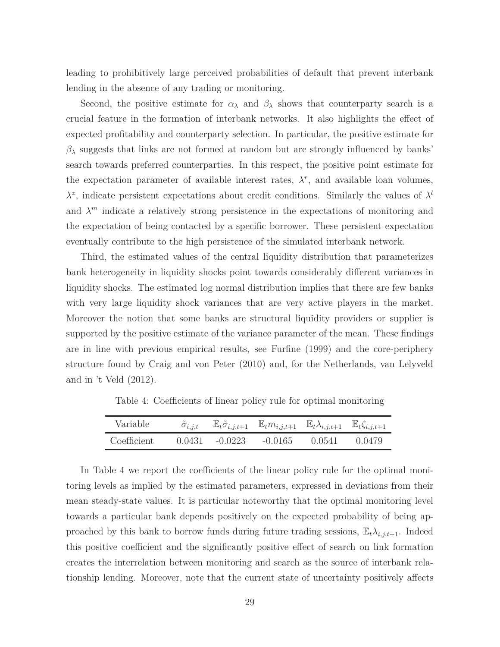leading to prohibitively large perceived probabilities of default that prevent interbank lending in the absence of any trading or monitoring.

Second, the positive estimate for  $\alpha_{\lambda}$  and  $\beta_{\lambda}$  shows that counterparty search is a crucial feature in the formation of interbank networks. It also highlights the effect of expected profitability and counterparty selection. In particular, the positive estimate for  $β<sub>λ</sub>$  suggests that links are not formed at random but are strongly influenced by banks' search towards preferred counterparties. In this respect, the positive point estimate for the expectation parameter of available interest rates,  $\lambda^r$ , and available loan volumes,  $\lambda^z$ , indicate persistent expectations about credit conditions. Similarly the values of  $\lambda^l$ and  $\lambda^m$  indicate a relatively strong persistence in the expectations of monitoring and the expectation of being contacted by a specific borrower. These persistent expectation eventually contribute to the high persistence of the simulated interbank network.

Third, the estimated values of the central liquidity distribution that parameterizes bank heterogeneity in liquidity shocks point towards considerably different variances in liquidity shocks. The estimated log normal distribution implies that there are few banks with very large liquidity shock variances that are very active players in the market. Moreover the notion that some banks are structural liquidity providers or supplier is supported by the positive estimate of the variance parameter of the mean. These findings are in line with previous empirical results, see Furfine (1999) and the core-periphery structure found by Craig and von Peter (2010) and, for the Netherlands, van Lelyveld and in 't Veld (2012).

| Variable    |                   | $\tilde{\sigma}_{i,j,t}$ $\mathbb{E}_t \tilde{\sigma}_{i,j,t+1}$ $\mathbb{E}_t m_{i,j,t+1}$ $\mathbb{E}_t \lambda_{i,j,t+1}$ $\mathbb{E}_t \zeta_{i,j,t+1}$ |        |        |
|-------------|-------------------|-------------------------------------------------------------------------------------------------------------------------------------------------------------|--------|--------|
| Coefficient | $0.0431 - 0.0223$ | -0.0165                                                                                                                                                     | 0.0541 | 0.0479 |

Table 4: Coefficients of linear policy rule for optimal monitoring

In Table 4 we report the coefficients of the linear policy rule for the optimal monitoring levels as implied by the estimated parameters, expressed in deviations from their mean steady-state values. It is particular noteworthy that the optimal monitoring level towards a particular bank depends positively on the expected probability of being approached by this bank to borrow funds during future trading sessions,  $\mathbb{E}_{t} \lambda_{i,j,t+1}$ . Indeed this positive coefficient and the significantly positive effect of search on link formation creates the interrelation between monitoring and search as the source of interbank relationship lending. Moreover, note that the current state of uncertainty positively affects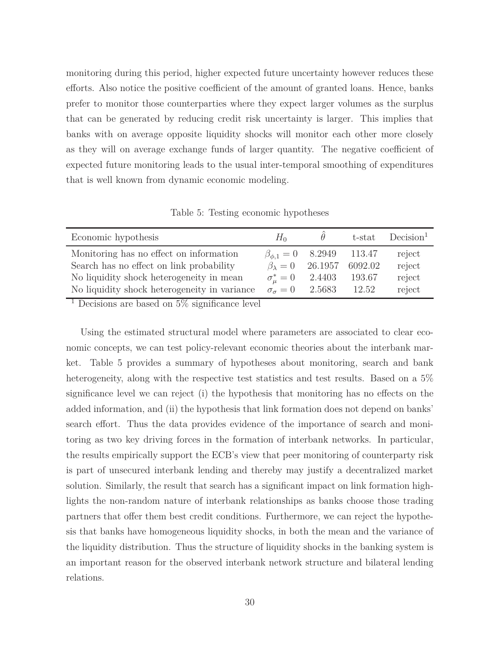monitoring during this period, higher expected future uncertainty however reduces these efforts. Also notice the positive coefficient of the amount of granted loans. Hence, banks prefer to monitor those counterparties where they expect larger volumes as the surplus that can be generated by reducing credit risk uncertainty is larger. This implies that banks with on average opposite liquidity shocks will monitor each other more closely as they will on average exchange funds of larger quantity. The negative coefficient of expected future monitoring leads to the usual inter-temporal smoothing of expenditures that is well known from dynamic economic modeling.

Economic hypothesis *H*<sup>0</sup>  $\hat{\theta}$  t-stat Decision<sup>1</sup> Monitoring has no effect on information  $\beta_{\phi,1} = 0$  8.2949 113.47 reject Search has no effect on link probability  $\beta_{\lambda} = 0$  26.1957 6092.02 reject No liquidity shock heterogeneity in mean *σ*  $\sigma^*_{\mu}=0$ 2.4403 193.67 reject No liquidity shock heterogeneity in variance  $\sigma_{\sigma} = 0$  2.5683 12.52 reject

Table 5: Testing economic hypotheses

<sup>1</sup> Decisions are based on  $5\%$  significance level

Using the estimated structural model where parameters are associated to clear economic concepts, we can test policy-relevant economic theories about the interbank market. Table 5 provides a summary of hypotheses about monitoring, search and bank heterogeneity, along with the respective test statistics and test results. Based on a 5% significance level we can reject (i) the hypothesis that monitoring has no effects on the added information, and (ii) the hypothesis that link formation does not depend on banks' search effort. Thus the data provides evidence of the importance of search and monitoring as two key driving forces in the formation of interbank networks. In particular, the results empirically support the ECB's view that peer monitoring of counterparty risk is part of unsecured interbank lending and thereby may justify a decentralized market solution. Similarly, the result that search has a significant impact on link formation highlights the non-random nature of interbank relationships as banks choose those trading partners that offer them best credit conditions. Furthermore, we can reject the hypothesis that banks have homogeneous liquidity shocks, in both the mean and the variance of the liquidity distribution. Thus the structure of liquidity shocks in the banking system is an important reason for the observed interbank network structure and bilateral lending relations.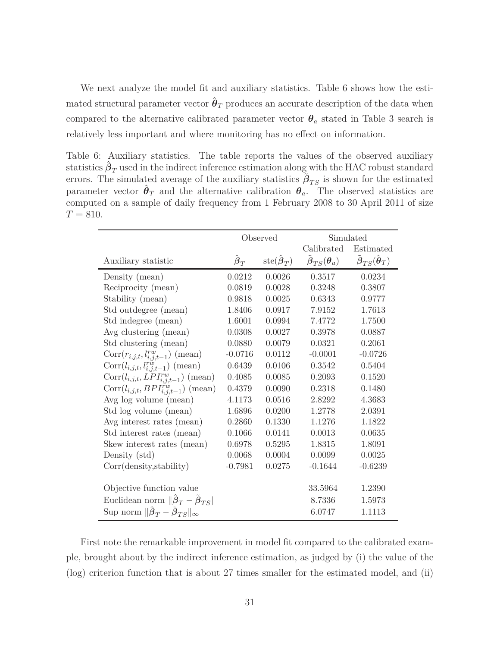We next analyze the model fit and auxiliary statistics. Table 6 shows how the esti- $\hat{H}$  mated structural parameter vector  $\hat{\boldsymbol{\theta}}_T$  produces an accurate description of the data when compared to the alternative calibrated parameter vector  $\theta_a$  stated in Table 3 search is relatively less important and where monitoring has no effect on information.

Table 6: Auxiliary statistics. The table reports the values of the observed auxiliary statistics  $\hat{\boldsymbol{\beta}}_T$  used in the indirect inference estimation along with the HAC robust standard errors. The simulated average of the auxiliary statistics  $\tilde{\beta}_{TS}$  is shown for the estimated parameter vector  $\hat{\theta}_T$  and the alternative calibration  $\theta_a$ . The observed statistics are computed on a sample of daily frequency from 1 February 2008 to 30 April 2011 of size  $T = 810.$ 

|                                                                                    | Observed                     |                                          | Simulated                                                |                                                                |  |
|------------------------------------------------------------------------------------|------------------------------|------------------------------------------|----------------------------------------------------------|----------------------------------------------------------------|--|
|                                                                                    |                              |                                          | Calibrated                                               | Estimated                                                      |  |
| Auxiliary statistic                                                                | $\hat{\boldsymbol{\beta}}_T$ | $\text{ste}(\hat{\boldsymbol{\beta}}_T)$ | $\tilde{\boldsymbol{\beta}}_{TS}(\boldsymbol{\theta}_a)$ | $\tilde{\boldsymbol{\beta}}_{TS}(\hat{\boldsymbol{\theta}}_T)$ |  |
| Density (mean)                                                                     | 0.0212                       | 0.0026                                   | 0.3517                                                   | 0.0234                                                         |  |
| Reciprocity (mean)                                                                 | 0.0819                       | 0.0028                                   | 0.3248                                                   | 0.3807                                                         |  |
| Stability (mean)                                                                   | 0.9818                       | 0.0025                                   | 0.6343                                                   | 0.9777                                                         |  |
| Std outdegree (mean)                                                               | 1.8406                       | 0.0917                                   | 7.9152                                                   | 1.7613                                                         |  |
| Std indegree (mean)                                                                | 1.6001                       | 0.0994                                   | 7.4772                                                   | 1.7500                                                         |  |
| Avg clustering (mean)                                                              | 0.0308                       | 0.0027                                   | 0.3978                                                   | 0.0887                                                         |  |
| Std clustering (mean)                                                              | 0.0880                       | 0.0079                                   | 0.0321                                                   | 0.2061                                                         |  |
| $Corr(r_{i,j,t}, l_{i,j,t-1}^{\mathit{rw}})$ (mean)                                | $-0.0716$                    | 0.0112                                   | $-0.0001$                                                | $-0.0726$                                                      |  |
| $Corr(l_{i,j,t}, l_{i,j,t-1}^{rw})$ (mean)                                         | 0.6439                       | 0.0106                                   | 0.3542                                                   | 0.5404                                                         |  |
| $Corr(l_{i,j,t}, LPI^{rw}_{i,j,t-1})$ (mean)                                       | 0.4085                       | 0.0085                                   | 0.2093                                                   | 0.1520                                                         |  |
| $Corr(l_{i,j,t}, BPI^{rw}_{i,j,t-1})$ (mean)                                       | 0.4379                       | 0.0090                                   | 0.2318                                                   | 0.1480                                                         |  |
| Avg log volume (mean)                                                              | 4.1173                       | 0.0516                                   | 2.8292                                                   | 4.3683                                                         |  |
| Std log volume (mean)                                                              | 1.6896                       | 0.0200                                   | 1.2778                                                   | 2.0391                                                         |  |
| Avg interest rates (mean)                                                          | 0.2860                       | 0.1330                                   | 1.1276                                                   | 1.1822                                                         |  |
| Std interest rates (mean)                                                          | 0.1066                       | 0.0141                                   | 0.0013                                                   | 0.0635                                                         |  |
| Skew interest rates (mean)                                                         | 0.6978                       | 0.5295                                   | 1.8315                                                   | 1.8091                                                         |  |
| Density (std)                                                                      | 0.0068                       | 0.0004                                   | 0.0099                                                   | 0.0025                                                         |  |
| Corr(density, stability)                                                           | $-0.7981$                    | 0.0275                                   | $-0.1644$                                                | $-0.6239$                                                      |  |
|                                                                                    |                              |                                          |                                                          |                                                                |  |
| Objective function value                                                           |                              |                                          | 33.5964                                                  | 1.2390                                                         |  |
| Euclidean norm $\ \hat{\boldsymbol{\beta}}_T - \hat{\boldsymbol{\beta}}_{TS}\ $    |                              |                                          | 8.7336                                                   | 1.5973                                                         |  |
| Sup norm $\ \hat{\boldsymbol{\beta}}_T - \hat{\boldsymbol{\beta}}_{TS}\ _{\infty}$ |                              |                                          | 6.0747                                                   | 1.1113                                                         |  |

First note the remarkable improvement in model fit compared to the calibrated example, brought about by the indirect inference estimation, as judged by (i) the value of the (log) criterion function that is about 27 times smaller for the estimated model, and (ii)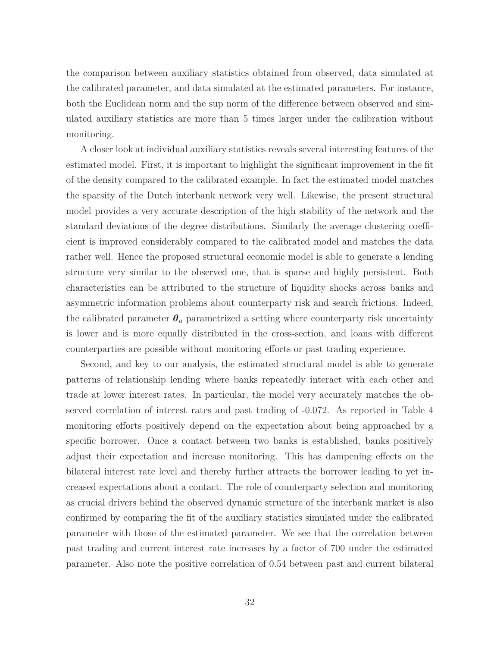the comparison between auxiliary statistics obtained from observed, data simulated at the calibrated parameter, and data simulated at the estimated parameters. For instance, both the Euclidean norm and the sup norm of the difference between observed and simulated auxiliary statistics are more than 5 times larger under the calibration without monitoring.

A closer look at individual auxiliary statistics reveals several interesting features of the estimated model. First, it is important to highlight the significant improvement in the fit of the density compared to the calibrated example. In fact the estimated model matches the sparsity of the Dutch interbank network very well. Likewise, the present structural model provides a very accurate description of the high stability of the network and the standard deviations of the degree distributions. Similarly the average clustering coefficient is improved considerably compared to the calibrated model and matches the data rather well. Hence the proposed structural economic model is able to generate a lending structure very similar to the observed one, that is sparse and highly persistent. Both characteristics can be attributed to the structure of liquidity shocks across banks and asymmetric information problems about counterparty risk and search frictions. Indeed, the calibrated parameter  $\theta_a$  parametrized a setting where counterparty risk uncertainty is lower and is more equally distributed in the cross-section, and loans with different counterparties are possible without monitoring efforts or past trading experience.

Second, and key to our analysis, the estimated structural model is able to generate patterns of relationship lending where banks repeatedly interact with each other and trade at lower interest rates. In particular, the model very accurately matches the observed correlation of interest rates and past trading of -0.072. As reported in Table 4 monitoring efforts positively depend on the expectation about being approached by a specific borrower. Once a contact between two banks is established, banks positively adjust their expectation and increase monitoring. This has dampening effects on the bilateral interest rate level and thereby further attracts the borrower leading to yet increased expectations about a contact. The role of counterparty selection and monitoring as crucial drivers behind the observed dynamic structure of the interbank market is also confirmed by comparing the fit of the auxiliary statistics simulated under the calibrated parameter with those of the estimated parameter. We see that the correlation between past trading and current interest rate increases by a factor of 700 under the estimated parameter. Also note the positive correlation of 0.54 between past and current bilateral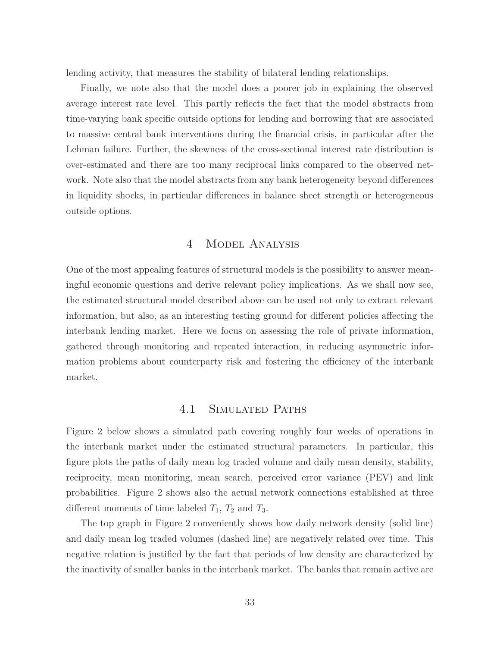lending activity, that measures the stability of bilateral lending relationships.

Finally, we note also that the model does a poorer job in explaining the observed average interest rate level. This partly reflects the fact that the model abstracts from time-varying bank specific outside options for lending and borrowing that are associated to massive central bank interventions during the financial crisis, in particular after the Lehman failure. Further, the skewness of the cross-sectional interest rate distribution is over-estimated and there are too many reciprocal links compared to the observed network. Note also that the model abstracts from any bank heterogeneity beyond differences in liquidity shocks, in particular differences in balance sheet strength or heterogeneous outside options.

#### 4 Model Analysis

One of the most appealing features of structural models is the possibility to answer meaningful economic questions and derive relevant policy implications. As we shall now see, the estimated structural model described above can be used not only to extract relevant information, but also, as an interesting testing ground for different policies affecting the interbank lending market. Here we focus on assessing the role of private information, gathered through monitoring and repeated interaction, in reducing asymmetric information problems about counterparty risk and fostering the efficiency of the interbank market.

#### 4.1 Simulated Paths

Figure 2 below shows a simulated path covering roughly four weeks of operations in the interbank market under the estimated structural parameters. In particular, this figure plots the paths of daily mean log traded volume and daily mean density, stability, reciprocity, mean monitoring, mean search, perceived error variance (PEV) and link probabilities. Figure 2 shows also the actual network connections established at three different moments of time labeled  $T_1$ ,  $T_2$  and  $T_3$ .

The top graph in Figure 2 conveniently shows how daily network density (solid line) and daily mean log traded volumes (dashed line) are negatively related over time. This negative relation is justified by the fact that periods of low density are characterized by the inactivity of smaller banks in the interbank market. The banks that remain active are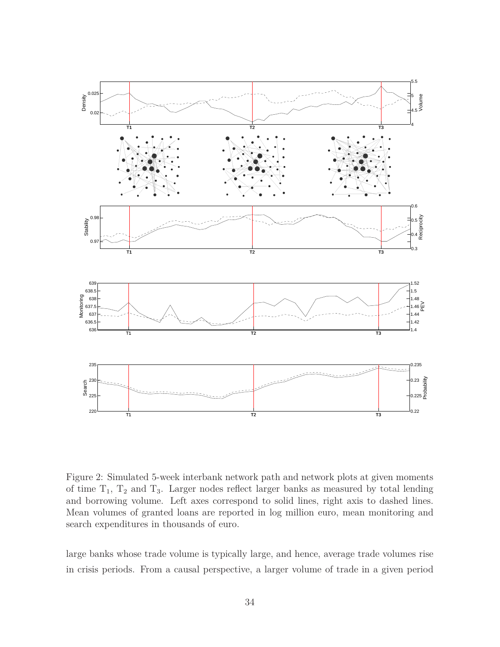

Figure 2: Simulated 5-week interbank network path and network plots at given moments of time  $T_1$ ,  $T_2$  and  $T_3$ . Larger nodes reflect larger banks as measured by total lending and borrowing volume. Left axes correspond to solid lines, right axis to dashed lines. Mean volumes of granted loans are reported in log million euro, mean monitoring and search expenditures in thousands of euro.

large banks whose trade volume is typically large, and hence, average trade volumes rise in crisis periods. From a causal perspective, a larger volume of trade in a given period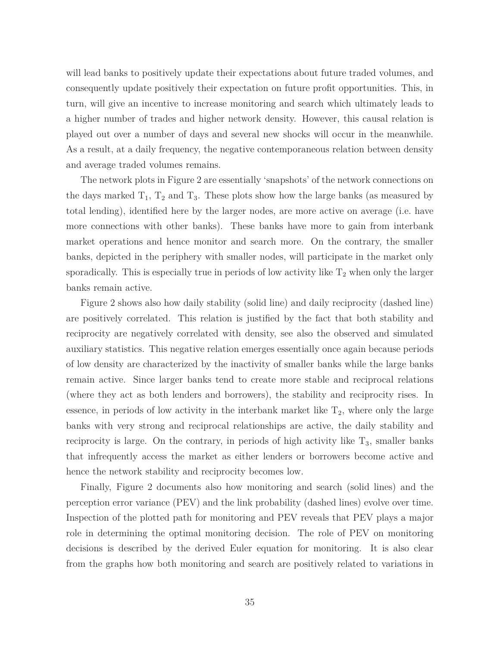will lead banks to positively update their expectations about future traded volumes, and consequently update positively their expectation on future profit opportunities. This, in turn, will give an incentive to increase monitoring and search which ultimately leads to a higher number of trades and higher network density. However, this causal relation is played out over a number of days and several new shocks will occur in the meanwhile. As a result, at a daily frequency, the negative contemporaneous relation between density and average traded volumes remains.

The network plots in Figure 2 are essentially 'snapshots' of the network connections on the days marked  $T_1$ ,  $T_2$  and  $T_3$ . These plots show how the large banks (as measured by total lending), identified here by the larger nodes, are more active on average (i.e. have more connections with other banks). These banks have more to gain from interbank market operations and hence monitor and search more. On the contrary, the smaller banks, depicted in the periphery with smaller nodes, will participate in the market only sporadically. This is especially true in periods of low activity like  $T_2$  when only the larger banks remain active.

Figure 2 shows also how daily stability (solid line) and daily reciprocity (dashed line) are positively correlated. This relation is justified by the fact that both stability and reciprocity are negatively correlated with density, see also the observed and simulated auxiliary statistics. This negative relation emerges essentially once again because periods of low density are characterized by the inactivity of smaller banks while the large banks remain active. Since larger banks tend to create more stable and reciprocal relations (where they act as both lenders and borrowers), the stability and reciprocity rises. In essence, in periods of low activity in the interbank market like  $T_2$ , where only the large banks with very strong and reciprocal relationships are active, the daily stability and reciprocity is large. On the contrary, in periods of high activity like  $T_3$ , smaller banks that infrequently access the market as either lenders or borrowers become active and hence the network stability and reciprocity becomes low.

Finally, Figure 2 documents also how monitoring and search (solid lines) and the perception error variance (PEV) and the link probability (dashed lines) evolve over time. Inspection of the plotted path for monitoring and PEV reveals that PEV plays a major role in determining the optimal monitoring decision. The role of PEV on monitoring decisions is described by the derived Euler equation for monitoring. It is also clear from the graphs how both monitoring and search are positively related to variations in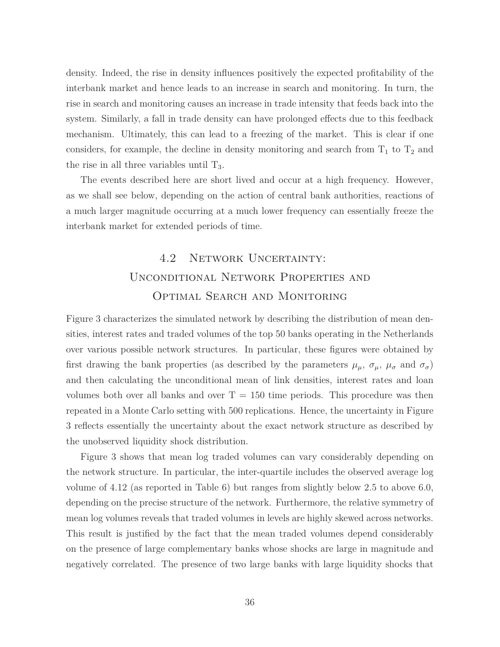density. Indeed, the rise in density influences positively the expected profitability of the interbank market and hence leads to an increase in search and monitoring. In turn, the rise in search and monitoring causes an increase in trade intensity that feeds back into the system. Similarly, a fall in trade density can have prolonged effects due to this feedback mechanism. Ultimately, this can lead to a freezing of the market. This is clear if one considers, for example, the decline in density monitoring and search from  $T_1$  to  $T_2$  and the rise in all three variables until  $T_3$ .

The events described here are short lived and occur at a high frequency. However, as we shall see below, depending on the action of central bank authorities, reactions of a much larger magnitude occurring at a much lower frequency can essentially freeze the interbank market for extended periods of time.

## 4.2 Network Uncertainty: Unconditional Network Properties and Optimal Search and Monitoring

Figure 3 characterizes the simulated network by describing the distribution of mean densities, interest rates and traded volumes of the top 50 banks operating in the Netherlands over various possible network structures. In particular, these figures were obtained by first drawing the bank properties (as described by the parameters  $\mu_{\mu}$ ,  $\sigma_{\mu}$ ,  $\mu_{\sigma}$  and  $\sigma_{\sigma}$ ) and then calculating the unconditional mean of link densities, interest rates and loan volumes both over all banks and over  $T = 150$  time periods. This procedure was then repeated in a Monte Carlo setting with 500 replications. Hence, the uncertainty in Figure 3 reflects essentially the uncertainty about the exact network structure as described by the unobserved liquidity shock distribution.

Figure 3 shows that mean log traded volumes can vary considerably depending on the network structure. In particular, the inter-quartile includes the observed average log volume of 4.12 (as reported in Table 6) but ranges from slightly below 2.5 to above 6.0, depending on the precise structure of the network. Furthermore, the relative symmetry of mean log volumes reveals that traded volumes in levels are highly skewed across networks. This result is justified by the fact that the mean traded volumes depend considerably on the presence of large complementary banks whose shocks are large in magnitude and negatively correlated. The presence of two large banks with large liquidity shocks that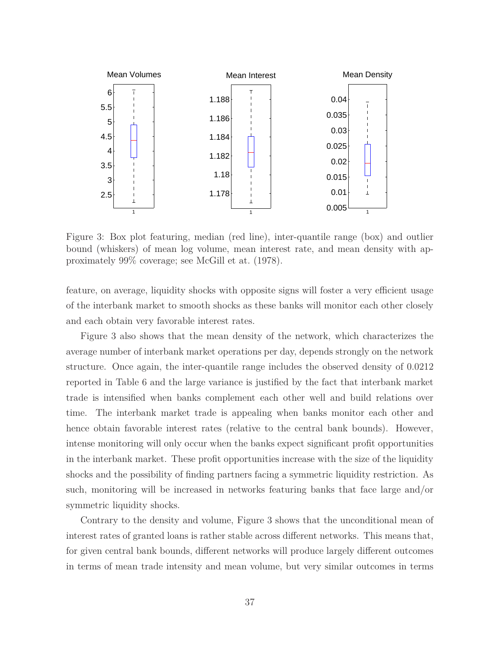

Figure 3: Box plot featuring, median (red line), inter-quantile range (box) and outlier bound (whiskers) of mean log volume, mean interest rate, and mean density with approximately 99% coverage; see McGill et at. (1978).

feature, on average, liquidity shocks with opposite signs will foster a very efficient usage of the interbank market to smooth shocks as these banks will monitor each other closely and each obtain very favorable interest rates.

Figure 3 also shows that the mean density of the network, which characterizes the average number of interbank market operations per day, depends strongly on the network structure. Once again, the inter-quantile range includes the observed density of 0.0212 reported in Table 6 and the large variance is justified by the fact that interbank market trade is intensified when banks complement each other well and build relations over time. The interbank market trade is appealing when banks monitor each other and hence obtain favorable interest rates (relative to the central bank bounds). However, intense monitoring will only occur when the banks expect significant profit opportunities in the interbank market. These profit opportunities increase with the size of the liquidity shocks and the possibility of finding partners facing a symmetric liquidity restriction. As such, monitoring will be increased in networks featuring banks that face large and/or symmetric liquidity shocks.

Contrary to the density and volume, Figure 3 shows that the unconditional mean of interest rates of granted loans is rather stable across different networks. This means that, for given central bank bounds, different networks will produce largely different outcomes in terms of mean trade intensity and mean volume, but very similar outcomes in terms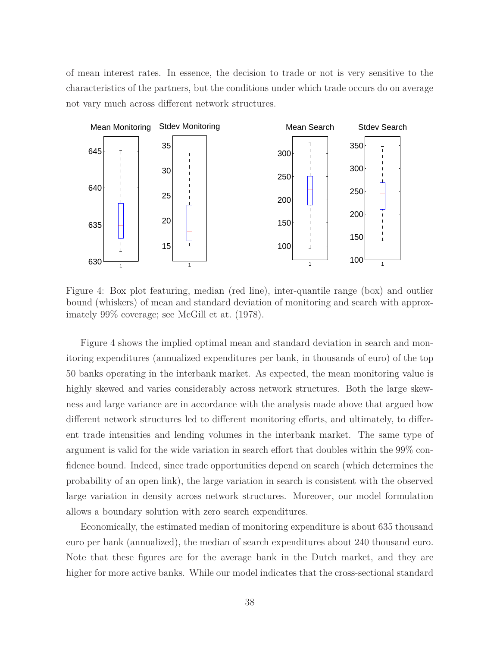of mean interest rates. In essence, the decision to trade or not is very sensitive to the characteristics of the partners, but the conditions under which trade occurs do on average not vary much across different network structures.



Figure 4: Box plot featuring, median (red line), inter-quantile range (box) and outlier bound (whiskers) of mean and standard deviation of monitoring and search with approximately 99% coverage; see McGill et at. (1978).

Figure 4 shows the implied optimal mean and standard deviation in search and monitoring expenditures (annualized expenditures per bank, in thousands of euro) of the top 50 banks operating in the interbank market. As expected, the mean monitoring value is highly skewed and varies considerably across network structures. Both the large skewness and large variance are in accordance with the analysis made above that argued how different network structures led to different monitoring efforts, and ultimately, to different trade intensities and lending volumes in the interbank market. The same type of argument is valid for the wide variation in search effort that doubles within the 99% confidence bound. Indeed, since trade opportunities depend on search (which determines the probability of an open link), the large variation in search is consistent with the observed large variation in density across network structures. Moreover, our model formulation allows a boundary solution with zero search expenditures.

Economically, the estimated median of monitoring expenditure is about 635 thousand euro per bank (annualized), the median of search expenditures about 240 thousand euro. Note that these figures are for the average bank in the Dutch market, and they are higher for more active banks. While our model indicates that the cross-sectional standard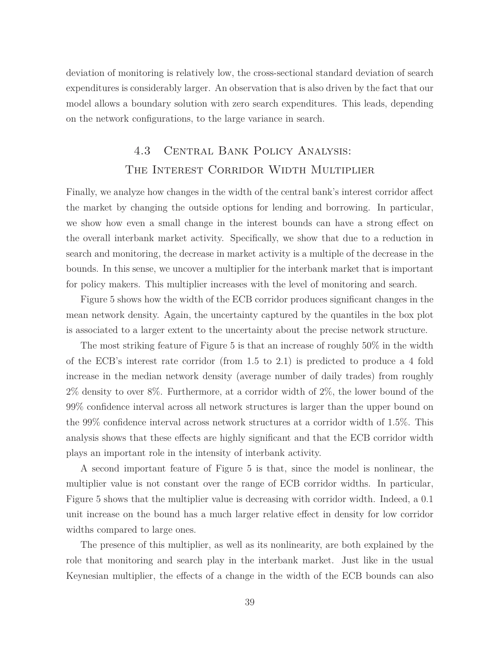deviation of monitoring is relatively low, the cross-sectional standard deviation of search expenditures is considerably larger. An observation that is also driven by the fact that our model allows a boundary solution with zero search expenditures. This leads, depending on the network configurations, to the large variance in search.

# 4.3 Central Bank Policy Analysis: The Interest Corridor Width Multiplier

Finally, we analyze how changes in the width of the central bank's interest corridor affect the market by changing the outside options for lending and borrowing. In particular, we show how even a small change in the interest bounds can have a strong effect on the overall interbank market activity. Specifically, we show that due to a reduction in search and monitoring, the decrease in market activity is a multiple of the decrease in the bounds. In this sense, we uncover a multiplier for the interbank market that is important for policy makers. This multiplier increases with the level of monitoring and search.

Figure 5 shows how the width of the ECB corridor produces significant changes in the mean network density. Again, the uncertainty captured by the quantiles in the box plot is associated to a larger extent to the uncertainty about the precise network structure.

The most striking feature of Figure 5 is that an increase of roughly 50% in the width of the ECB's interest rate corridor (from 1.5 to 2.1) is predicted to produce a 4 fold increase in the median network density (average number of daily trades) from roughly 2% density to over 8%. Furthermore, at a corridor width of 2%, the lower bound of the 99% confidence interval across all network structures is larger than the upper bound on the 99% confidence interval across network structures at a corridor width of 1*.*5%. This analysis shows that these effects are highly significant and that the ECB corridor width plays an important role in the intensity of interbank activity.

A second important feature of Figure 5 is that, since the model is nonlinear, the multiplier value is not constant over the range of ECB corridor widths. In particular, Figure 5 shows that the multiplier value is decreasing with corridor width. Indeed, a 0.1 unit increase on the bound has a much larger relative effect in density for low corridor widths compared to large ones.

The presence of this multiplier, as well as its nonlinearity, are both explained by the role that monitoring and search play in the interbank market. Just like in the usual Keynesian multiplier, the effects of a change in the width of the ECB bounds can also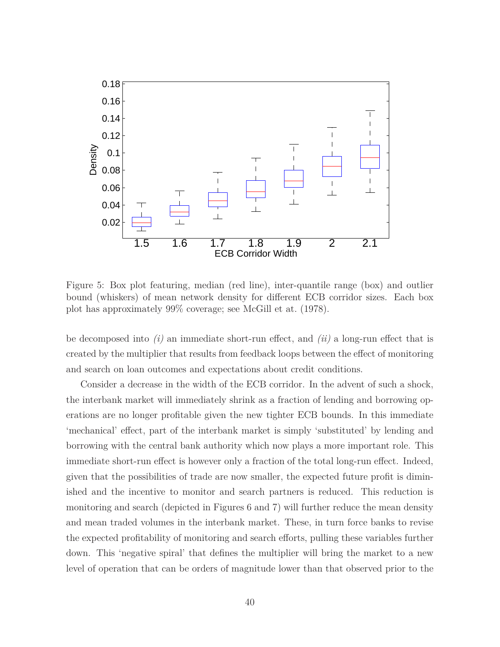

Figure 5: Box plot featuring, median (red line), inter-quantile range (box) and outlier bound (whiskers) of mean network density for different ECB corridor sizes. Each box plot has approximately 99% coverage; see McGill et at. (1978).

be decomposed into *(i)* an immediate short-run effect, and *(ii)* a long-run effect that is created by the multiplier that results from feedback loops between the effect of monitoring and search on loan outcomes and expectations about credit conditions.

Consider a decrease in the width of the ECB corridor. In the advent of such a shock, the interbank market will immediately shrink as a fraction of lending and borrowing operations are no longer profitable given the new tighter ECB bounds. In this immediate 'mechanical' effect, part of the interbank market is simply 'substituted' by lending and borrowing with the central bank authority which now plays a more important role. This immediate short-run effect is however only a fraction of the total long-run effect. Indeed, given that the possibilities of trade are now smaller, the expected future profit is diminished and the incentive to monitor and search partners is reduced. This reduction is monitoring and search (depicted in Figures 6 and 7) will further reduce the mean density and mean traded volumes in the interbank market. These, in turn force banks to revise the expected profitability of monitoring and search efforts, pulling these variables further down. This 'negative spiral' that defines the multiplier will bring the market to a new level of operation that can be orders of magnitude lower than that observed prior to the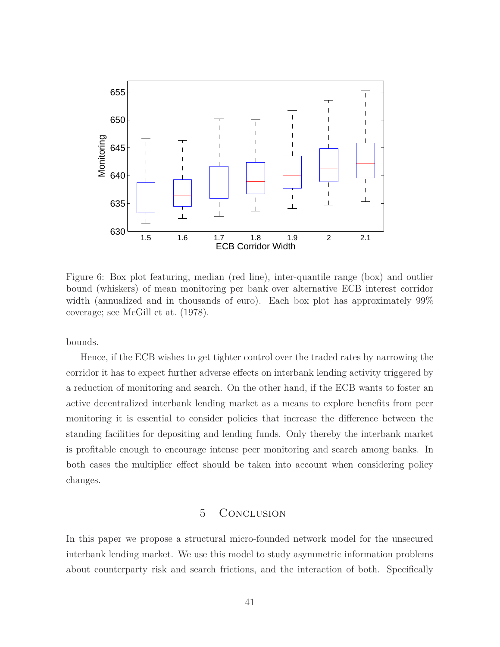

Figure 6: Box plot featuring, median (red line), inter-quantile range (box) and outlier bound (whiskers) of mean monitoring per bank over alternative ECB interest corridor width (annualized and in thousands of euro). Each box plot has approximately 99% coverage; see McGill et at. (1978).

bounds.

Hence, if the ECB wishes to get tighter control over the traded rates by narrowing the corridor it has to expect further adverse effects on interbank lending activity triggered by a reduction of monitoring and search. On the other hand, if the ECB wants to foster an active decentralized interbank lending market as a means to explore benefits from peer monitoring it is essential to consider policies that increase the difference between the standing facilities for depositing and lending funds. Only thereby the interbank market is profitable enough to encourage intense peer monitoring and search among banks. In both cases the multiplier effect should be taken into account when considering policy changes.

#### 5 Conclusion

In this paper we propose a structural micro-founded network model for the unsecured interbank lending market. We use this model to study asymmetric information problems about counterparty risk and search frictions, and the interaction of both. Specifically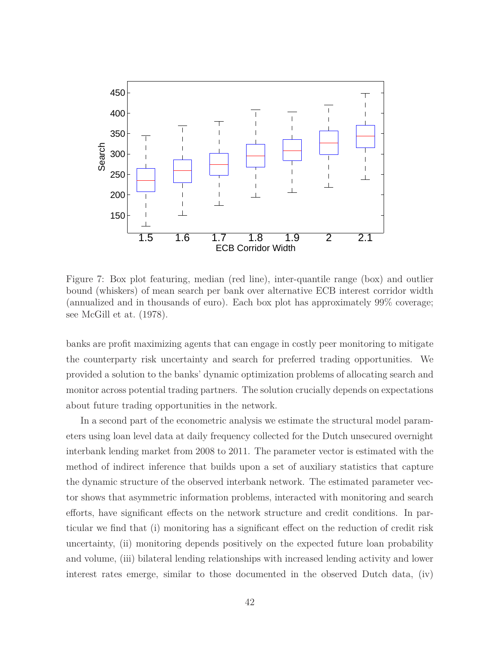

Figure 7: Box plot featuring, median (red line), inter-quantile range (box) and outlier bound (whiskers) of mean search per bank over alternative ECB interest corridor width (annualized and in thousands of euro). Each box plot has approximately 99% coverage; see McGill et at. (1978).

banks are profit maximizing agents that can engage in costly peer monitoring to mitigate the counterparty risk uncertainty and search for preferred trading opportunities. We provided a solution to the banks' dynamic optimization problems of allocating search and monitor across potential trading partners. The solution crucially depends on expectations about future trading opportunities in the network.

In a second part of the econometric analysis we estimate the structural model parameters using loan level data at daily frequency collected for the Dutch unsecured overnight interbank lending market from 2008 to 2011. The parameter vector is estimated with the method of indirect inference that builds upon a set of auxiliary statistics that capture the dynamic structure of the observed interbank network. The estimated parameter vector shows that asymmetric information problems, interacted with monitoring and search efforts, have significant effects on the network structure and credit conditions. In particular we find that (i) monitoring has a significant effect on the reduction of credit risk uncertainty, (ii) monitoring depends positively on the expected future loan probability and volume, (iii) bilateral lending relationships with increased lending activity and lower interest rates emerge, similar to those documented in the observed Dutch data, (iv)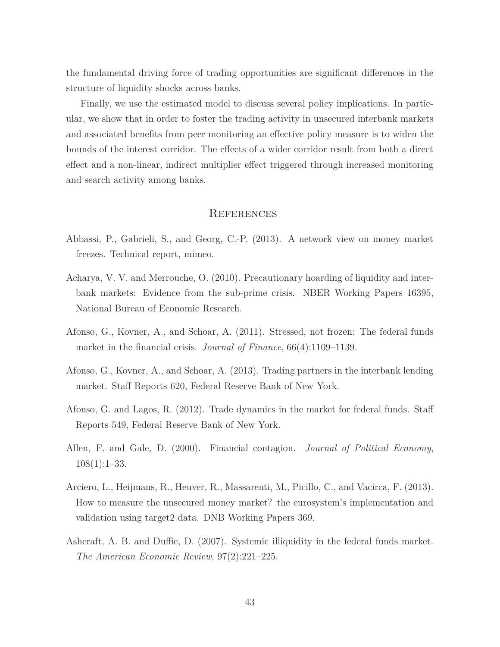the fundamental driving force of trading opportunities are significant differences in the structure of liquidity shocks across banks.

Finally, we use the estimated model to discuss several policy implications. In particular, we show that in order to foster the trading activity in unsecured interbank markets and associated benefits from peer monitoring an effective policy measure is to widen the bounds of the interest corridor. The effects of a wider corridor result from both a direct effect and a non-linear, indirect multiplier effect triggered through increased monitoring and search activity among banks.

#### **REFERENCES**

- Abbassi, P., Gabrieli, S., and Georg, C.-P. (2013). A network view on money market freezes. Technical report, mimeo.
- Acharya, V. V. and Merrouche, O. (2010). Precautionary hoarding of liquidity and interbank markets: Evidence from the sub-prime crisis. NBER Working Papers 16395, National Bureau of Economic Research.
- Afonso, G., Kovner, A., and Schoar, A. (2011). Stressed, not frozen: The federal funds market in the financial crisis. *Journal of Finance*, 66(4):1109–1139.
- Afonso, G., Kovner, A., and Schoar, A. (2013). Trading partners in the interbank lending market. Staff Reports 620, Federal Reserve Bank of New York.
- Afonso, G. and Lagos, R. (2012). Trade dynamics in the market for federal funds. Staff Reports 549, Federal Reserve Bank of New York.
- Allen, F. and Gale, D. (2000). Financial contagion. *Journal of Political Economy*,  $108(1):1-33.$
- Arciero, L., Heijmans, R., Heuver, R., Massarenti, M., Picillo, C., and Vacirca, F. (2013). How to measure the unsecured money market? the eurosystem's implementation and validation using target2 data. DNB Working Papers 369.
- Ashcraft, A. B. and Duffie, D. (2007). Systemic illiquidity in the federal funds market. *The American Economic Review*, 97(2):221–225.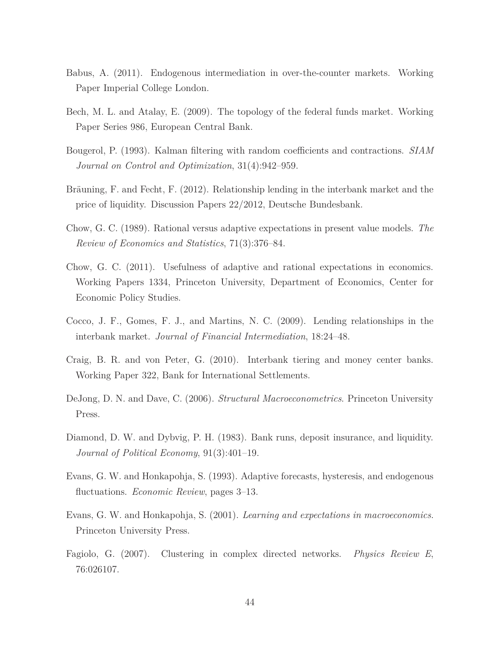- Babus, A. (2011). Endogenous intermediation in over-the-counter markets. Working Paper Imperial College London.
- Bech, M. L. and Atalay, E. (2009). The topology of the federal funds market. Working Paper Series 986, European Central Bank.
- Bougerol, P. (1993). Kalman filtering with random coefficients and contractions. *SIAM Journal on Control and Optimization*, 31(4):942–959.
- Bräuning, F. and Fecht, F. (2012). Relationship lending in the interbank market and the price of liquidity. Discussion Papers 22/2012, Deutsche Bundesbank.
- Chow, G. C. (1989). Rational versus adaptive expectations in present value models. *The Review of Economics and Statistics*, 71(3):376–84.
- Chow, G. C. (2011). Usefulness of adaptive and rational expectations in economics. Working Papers 1334, Princeton University, Department of Economics, Center for Economic Policy Studies.
- Cocco, J. F., Gomes, F. J., and Martins, N. C. (2009). Lending relationships in the interbank market. *Journal of Financial Intermediation*, 18:24–48.
- Craig, B. R. and von Peter, G. (2010). Interbank tiering and money center banks. Working Paper 322, Bank for International Settlements.
- DeJong, D. N. and Dave, C. (2006). *Structural Macroeconometrics*. Princeton University Press.
- Diamond, D. W. and Dybvig, P. H. (1983). Bank runs, deposit insurance, and liquidity. *Journal of Political Economy*, 91(3):401–19.
- Evans, G. W. and Honkapohja, S. (1993). Adaptive forecasts, hysteresis, and endogenous fluctuations. *Economic Review*, pages 3–13.
- Evans, G. W. and Honkapohja, S. (2001). *Learning and expectations in macroeconomics*. Princeton University Press.
- Fagiolo, G. (2007). Clustering in complex directed networks. *Physics Review E*, 76:026107.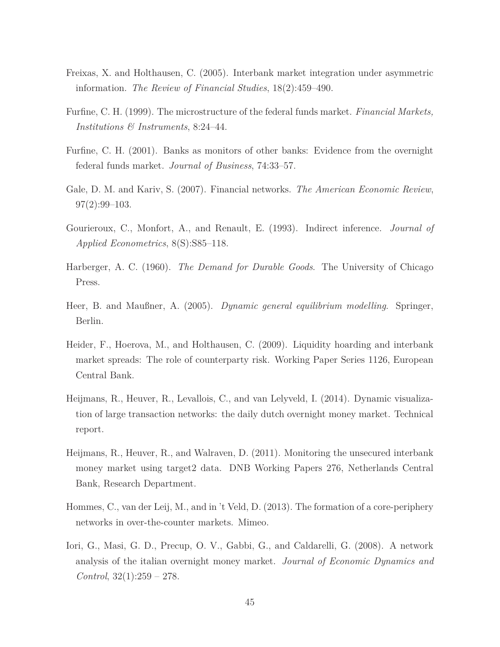- Freixas, X. and Holthausen, C. (2005). Interbank market integration under asymmetric information. *The Review of Financial Studies*, 18(2):459–490.
- Furfine, C. H. (1999). The microstructure of the federal funds market. *Financial Markets, Institutions & Instruments*, 8:24–44.
- Furfine, C. H. (2001). Banks as monitors of other banks: Evidence from the overnight federal funds market. *Journal of Business*, 74:33–57.
- Gale, D. M. and Kariv, S. (2007). Financial networks. *The American Economic Review*, 97(2):99–103.
- Gourieroux, C., Monfort, A., and Renault, E. (1993). Indirect inference. *Journal of Applied Econometrics*, 8(S):S85–118.
- Harberger, A. C. (1960). *The Demand for Durable Goods*. The University of Chicago Press.
- Heer, B. and Maußner, A. (2005). *Dynamic general equilibrium modelling*. Springer, Berlin.
- Heider, F., Hoerova, M., and Holthausen, C. (2009). Liquidity hoarding and interbank market spreads: The role of counterparty risk. Working Paper Series 1126, European Central Bank.
- Heijmans, R., Heuver, R., Levallois, C., and van Lelyveld, I. (2014). Dynamic visualization of large transaction networks: the daily dutch overnight money market. Technical report.
- Heijmans, R., Heuver, R., and Walraven, D. (2011). Monitoring the unsecured interbank money market using target2 data. DNB Working Papers 276, Netherlands Central Bank, Research Department.
- Hommes, C., van der Leij, M., and in 't Veld, D. (2013). The formation of a core-periphery networks in over-the-counter markets. Mimeo.
- Iori, G., Masi, G. D., Precup, O. V., Gabbi, G., and Caldarelli, G. (2008). A network analysis of the italian overnight money market. *Journal of Economic Dynamics and Control*, 32(1):259 – 278.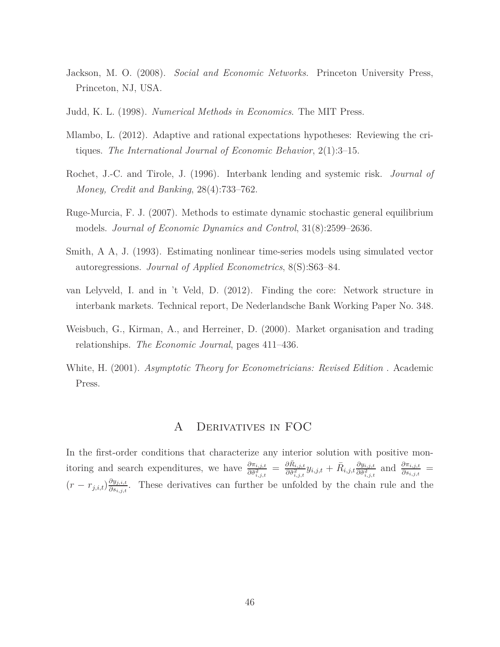- Jackson, M. O. (2008). *Social and Economic Networks*. Princeton University Press, Princeton, NJ, USA.
- Judd, K. L. (1998). *Numerical Methods in Economics*. The MIT Press.
- Mlambo, L. (2012). Adaptive and rational expectations hypotheses: Reviewing the critiques. *The International Journal of Economic Behavior*, 2(1):3–15.
- Rochet, J.-C. and Tirole, J. (1996). Interbank lending and systemic risk. *Journal of Money, Credit and Banking*, 28(4):733–762.
- Ruge-Murcia, F. J. (2007). Methods to estimate dynamic stochastic general equilibrium models. *Journal of Economic Dynamics and Control*, 31(8):2599–2636.
- Smith, A A, J. (1993). Estimating nonlinear time-series models using simulated vector autoregressions. *Journal of Applied Econometrics*, 8(S):S63–84.
- van Lelyveld, I. and in 't Veld, D. (2012). Finding the core: Network structure in interbank markets. Technical report, De Nederlandsche Bank Working Paper No. 348.
- Weisbuch, G., Kirman, A., and Herreiner, D. (2000). Market organisation and trading relationships. *The Economic Journal*, pages 411–436.
- White, H. (2001). *Asymptotic Theory for Econometricians: Revised Edition* . Academic Press.

## A Derivatives in FOC

In the first-order conditions that characterize any interior solution with positive monitoring and search expenditures, we have  $\frac{\partial \pi_{i,j,t}}{\partial \tilde{\sigma}_{i,j,t}^2} = \frac{\partial \bar{R}_{i,j,t}}{\partial \tilde{\sigma}_{i,j,t}^2} y_{i,j,t} + \bar{R}_{i,j,t} \frac{\partial y_{i,j,t}}{\partial \tilde{\sigma}_{i,j,t}^2}$  $\frac{\partial y_{i,j,t}}{\partial \tilde{\sigma}^2_{i,j,t}}$  and  $\frac{\partial \pi_{i,j,t}}{\partial s_{i,j,t}}$  =  $(r - r_{j,i,t}) \frac{\partial y_{j,i,t}}{\partial s_{j,i,t}}$ *<u>∂<sup>g</sup>j,i,t</u>*</sub>. These derivatives can further be unfolded by the chain rule and the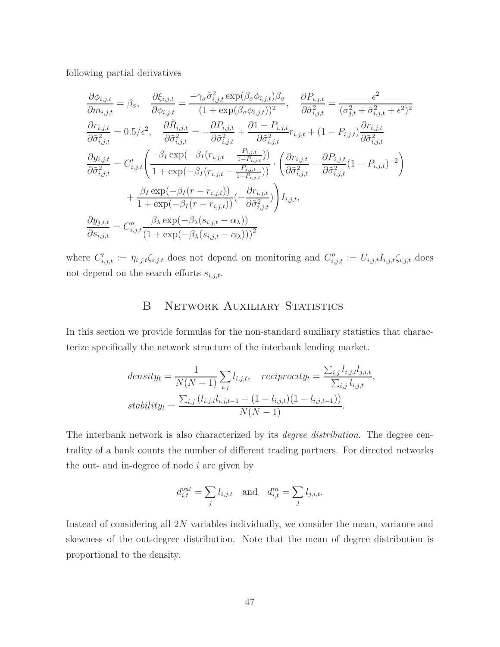following partial derivatives

$$
\frac{\partial \phi_{i,j,t}}{\partial m_{i,j,t}} = \beta_{\phi}, \quad \frac{\partial \xi_{i,j,t}}{\partial \phi_{i,j,t}} = \frac{-\gamma_{\sigma} \tilde{\sigma}_{i,j,t}^{2} \exp(\beta_{\sigma} \phi_{i,j,t}) \beta_{\sigma}}{(1 + \exp(\beta_{\sigma} \phi_{i,j,t}))^{2}}, \quad \frac{\partial P_{i,j,t}}{\partial \tilde{\sigma}_{i,j,t}^{2}} = \frac{\epsilon^{2}}{(\sigma_{j,t}^{2} + \tilde{\sigma}_{i,j,t}^{2} + \epsilon^{2})^{2}}
$$
\n
$$
\frac{\partial r_{i,j,t}}{\partial \tilde{\sigma}_{i,j,t}^{2}} = 0.5/\epsilon^{2}, \quad \frac{\partial \tilde{R}_{i,j,t}}{\partial \tilde{\sigma}_{i,j,t}^{2}} = -\frac{\partial P_{i,j,t}}{\partial \tilde{\sigma}_{i,j,t}^{2}} + \frac{\partial 1 - P_{i,j,t}}{\partial \tilde{\sigma}_{i,j,t}^{2}} r_{i,j,t} + (1 - P_{i,j,t}) \frac{\partial r_{i,j,t}}{\partial \tilde{\sigma}_{i,j,t}^{2}}
$$
\n
$$
\frac{\partial y_{i,j,t}}{\partial \tilde{\sigma}_{i,j,t}^{2}} = C'_{i,j,t} \left( \frac{-\beta_{I} \exp(-\beta_{I}(r_{i,j,t} - \frac{P_{i,j,t}}{1 - P_{i,j,t})})}{1 + \exp(-\beta_{I}(r_{i,j,t} - \frac{P_{i,j,t}}{1 - P_{i,j,t})})} \cdot \left( \frac{\partial r_{i,j,t}}{\partial \tilde{\sigma}_{i,j,t}^{2}} - \frac{\partial P_{i,j,t}}{\partial \tilde{\sigma}_{i,j,t}^{2}} (1 - P_{i,j,t})^{-2} \right) + \frac{\beta_{I} \exp(-\beta_{I}(r - r_{i,j,t}))}{1 + \exp(-\beta_{I}(r - r_{i,j,t}))} (-\frac{\partial r_{i,j,t}}{\partial \tilde{\sigma}_{i,j,t}^{2}}) \right) I_{i,j,t},
$$
\n
$$
\frac{\partial y_{j,i,t}}{\partial s_{i,j,t}} = C''_{i,j,t} \frac{\beta_{\lambda} \exp(-\beta_{\lambda}(s_{i,j,t} - \alpha_{\lambda}))}{(1 + \exp(-\beta_{\lambda}(s_{i,j,t} - \alpha_{\lambda})))^{2}}
$$

where  $C'_{i,j,t} := \eta_{i,j,t} \zeta_{i,j,t}$  does not depend on monitoring and  $C''_{i,j,t} := U_{i,j,t} I_{i,j,t} \zeta_{i,j,t}$  does not depend on the search efforts *si,j,t*.

## B NETWORK AUXILIARY STATISTICS

In this section we provide formulas for the non-standard auxiliary statistics that characterize specifically the network structure of the interbank lending market.

$$
density_t = \frac{1}{N(N-1)} \sum_{i,j} l_{i,j,t}, \quad reciprocity_t = \frac{\sum_{i,j} l_{i,j,t} l_{j,i,t}}{\sum_{i,j} l_{i,j,t}},
$$
  
\n
$$
stability_t = \frac{\sum_{i,j} (l_{i,j,t} l_{i,j,t-1} + (1 - l_{i,j,t})(1 - l_{i,j,t-1}))}{N(N-1)}.
$$

The interbank network is also characterized by its *degree distribution*. The degree centrality of a bank counts the number of different trading partners. For directed networks the out- and in-degree of node *i* are given by

$$
d_{i,t}^{out} = \sum_j l_{i,j,t} \quad \text{and} \quad d_{i,t}^{in} = \sum_j l_{j,i,t}.
$$

Instead of considering all 2*N* variables individually, we consider the mean, variance and skewness of the out-degree distribution. Note that the mean of degree distribution is proportional to the density.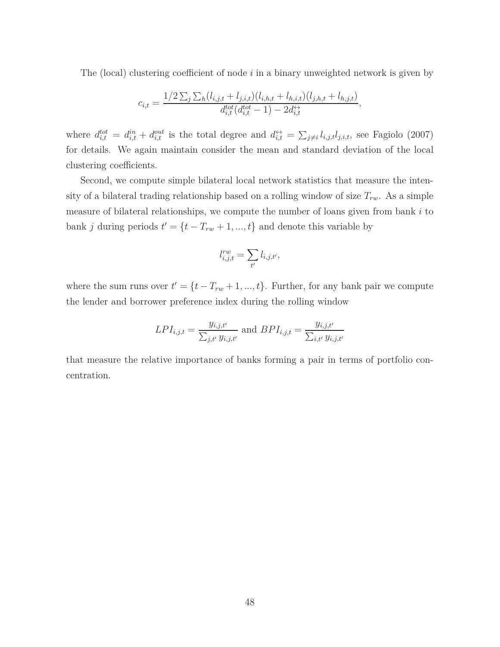The (local) clustering coefficient of node *i* in a binary unweighted network is given by

$$
c_{i,t} = \frac{1/2 \sum_{j} \sum_{h} (l_{i,j,t} + l_{j,i,t}) (l_{i,h,t} + l_{h,i,t}) (l_{j,h,t} + l_{h,j,t})}{d_{i,t}^{tot}(d_{i,t}^{tot} - 1) - 2d_{i,t}^{tot}},
$$

where  $d_{i,t}^{tot} = d_{i,t}^{in} + d_{i,t}^{out}$  is the total degree and  $d_{i,t}^{\leftrightarrow} = \sum_{j\neq i} l_{i,j,t} l_{j,i,t}$ , see Fagiolo (2007) for details. We again maintain consider the mean and standard deviation of the local clustering coefficients.

Second, we compute simple bilateral local network statistics that measure the intensity of a bilateral trading relationship based on a rolling window of size  $T_{rw}$ . As a simple measure of bilateral relationships, we compute the number of loans given from bank *i* to bank *j* during periods  $t' = \{t - T_{rw} + 1, ..., t\}$  and denote this variable by

$$
l_{i,j,t}^{rw} = \sum_{t'} l_{i,j,t'},
$$

where the sum runs over  $t' = \{t - T_{rw} + 1, ..., t\}$ . Further, for any bank pair we compute the lender and borrower preference index during the rolling window

$$
LPI_{i,j,t} = \frac{y_{i,j,t'}}{\sum_{j,t'} y_{i,j,t'}} \text{ and } BPI_{i,j,t} = \frac{y_{i,j,t'}}{\sum_{i,t'} y_{i,j,t'}}
$$

that measure the relative importance of banks forming a pair in terms of portfolio concentration.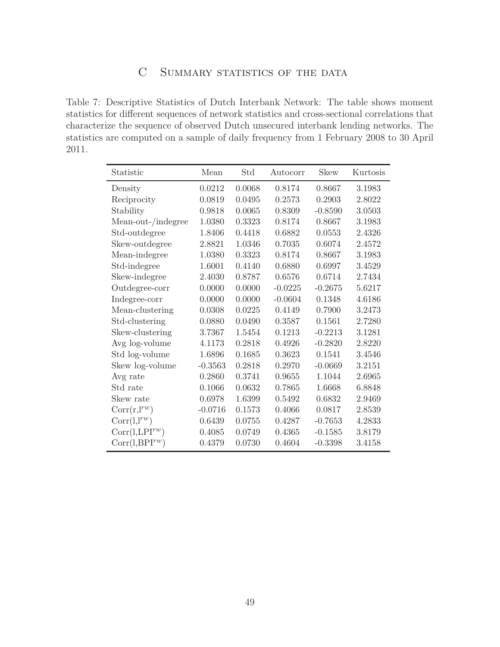## C SUMMARY STATISTICS OF THE DATA

Table 7: Descriptive Statistics of Dutch Interbank Network: The table shows moment statistics for different sequences of network statistics and cross-sectional correlations that characterize the sequence of observed Dutch unsecured interbank lending networks. The statistics are computed on a sample of daily frequency from 1 February 2008 to 30 April 2011.

| Statistic           | Mean      | Std    | Autocorr  | <b>Skew</b> | Kurtosis |
|---------------------|-----------|--------|-----------|-------------|----------|
| Density             | 0.0212    | 0.0068 | 0.8174    | 0.8667      | 3.1983   |
| Reciprocity         | 0.0819    | 0.0495 | 0.2573    | 0.2903      | 2.8022   |
| Stability           | 0.9818    | 0.0065 | 0.8309    | $-0.8590$   | 3.0503   |
| Mean-out-/indegree  | 1.0380    | 0.3323 | 0.8174    | 0.8667      | 3.1983   |
| Std-outdegree       | 1.8406    | 0.4418 | 0.6882    | 0.0553      | 2.4326   |
| Skew-outdegree      | 2.8821    | 1.0346 | 0.7035    | 0.6074      | 2.4572   |
| Mean-indegree       | 1.0380    | 0.3323 | 0.8174    | 0.8667      | 3.1983   |
| Std-indegree        | 1.6001    | 0.4140 | 0.6880    | 0.6997      | 3.4529   |
| Skew-indegree       | 2.4030    | 0.8787 | 0.6576    | 0.6714      | 2.7434   |
| Outdegree-corr      | 0.0000    | 0.0000 | $-0.0225$ | $-0.2675$   | 5.6217   |
| Indegree-corr       | 0.0000    | 0.0000 | $-0.0604$ | 0.1348      | 4.6186   |
| Mean-clustering     | 0.0308    | 0.0225 | 0.4149    | 0.7900      | 3.2473   |
| Std-clustering      | 0.0880    | 0.0490 | 0.3587    | 0.1561      | 2.7280   |
| Skew-clustering     | 3.7367    | 1.5454 | 0.1213    | $-0.2213$   | 3.1281   |
| Avg log-volume      | 4.1173    | 0.2818 | 0.4926    | $-0.2820$   | 2.8220   |
| Std log-volume      | 1.6896    | 0.1685 | 0.3623    | 0.1541      | 3.4546   |
| Skew log-volume     | $-0.3563$ | 0.2818 | 0.2970    | $-0.0669$   | 3.2151   |
| Avg rate            | 0.2860    | 0.3741 | 0.9655    | 1.1044      | 2.6965   |
| Std rate            | 0.1066    | 0.0632 | 0.7865    | 1.6668      | 6.8848   |
| Skew rate           | 0.6978    | 1.6399 | 0.5492    | 0.6832      | 2.9469   |
| $Corr(r, l^{rw})$   | $-0.0716$ | 0.1573 | 0.4066    | 0.0817      | 2.8539   |
| $Corr(1,1^{rw})$    | 0.6439    | 0.0755 | 0.4287    | $-0.7653$   | 4.2833   |
| $Corr(l, LPI^{rw})$ | 0.4085    | 0.0749 | 0.4365    | $-0.1585$   | 3.8179   |
| $Corr(1,BPI^{rw})$  | 0.4379    | 0.0730 | 0.4604    | $-0.3398$   | 3.4158   |